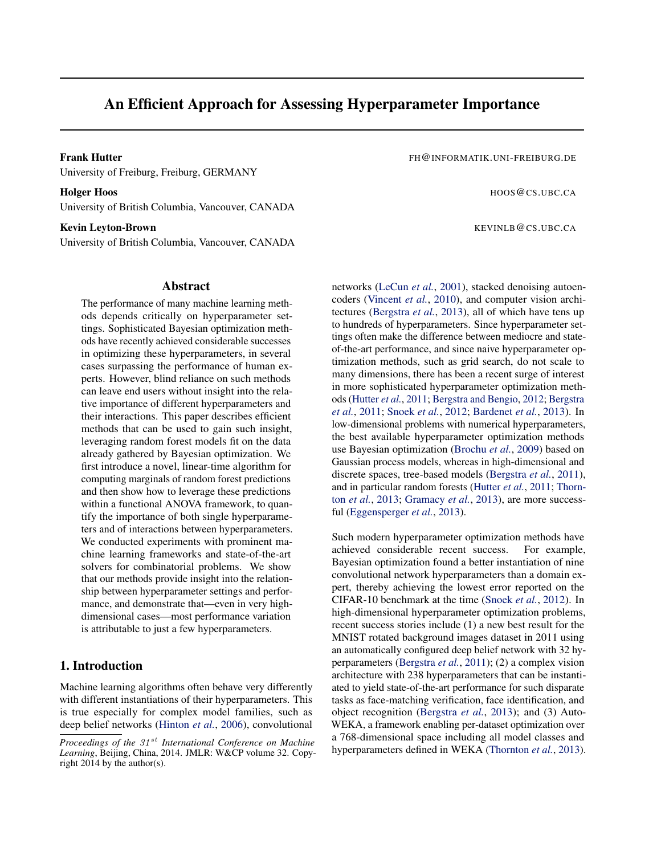# An Efficient Approach for Assessing Hyperparameter Importance

Frank Hutter Frank Hutter Figure 1, 2008 and the UNI-FREIBURG ASSESSMENT AND THE UNI-FREIBURG.DE University of Freiburg, Freiburg, GERMANY

Holger Hoos extends to the extendion of the extendion of the extendion of the extendion of the extendion of the extendion of the extendion of the extendion of the extendion of the extendion of the extendion of the extendio University of British Columbia, Vancouver, CANADA

#### **Kevin Leyton-Brown KEVINLB @CS.UBC.CA**

University of British Columbia, Vancouver, CANADA

# Abstract

The performance of many machine learning methods depends critically on hyperparameter settings. Sophisticated Bayesian optimization methods have recently achieved considerable successes in optimizing these hyperparameters, in several cases surpassing the performance of human experts. However, blind reliance on such methods can leave end users without insight into the relative importance of different hyperparameters and their interactions. This paper describes efficient methods that can be used to gain such insight, leveraging random forest models fit on the data already gathered by Bayesian optimization. We first introduce a novel, linear-time algorithm for computing marginals of random forest predictions and then show how to leverage these predictions within a functional ANOVA framework, to quantify the importance of both single hyperparameters and of interactions between hyperparameters. We conducted experiments with prominent machine learning frameworks and state-of-the-art solvers for combinatorial problems. We show that our methods provide insight into the relationship between hyperparameter settings and performance, and demonstrate that—even in very highdimensional cases—most performance variation is attributable to just a few hyperparameters.

# 1. Introduction

Machine learning algorithms often behave very differently with different instantiations of their hyperparameters. This is true especially for complex model families, such as deep belief networks [\(Hinton](#page-8-0) *et al.*, [2006\)](#page-8-0), convolutional

networks [\(LeCun](#page-8-0) *et al.*, [2001\)](#page-8-0), stacked denoising autoencoders [\(Vincent](#page-9-0) *et al.*, [2010\)](#page-9-0), and computer vision architectures [\(Bergstra](#page-8-0) *et al.*, [2013\)](#page-8-0), all of which have tens up to hundreds of hyperparameters. Since hyperparameter settings often make the difference between mediocre and stateof-the-art performance, and since naive hyperparameter optimization methods, such as grid search, do not scale to many dimensions, there has been a recent surge of interest in more sophisticated hyperparameter optimization methods [\(Hutter](#page-8-0) *et al.*, [2011;](#page-8-0) [Bergstra and Bengio,](#page-8-0) [2012;](#page-8-0) [Bergstra](#page-8-0) *[et al.](#page-8-0)*, [2011;](#page-8-0) [Snoek](#page-9-0) *et al.*, [2012;](#page-9-0) [Bardenet](#page-8-0) *et al.*, [2013\)](#page-8-0). In low-dimensional problems with numerical hyperparameters, the best available hyperparameter optimization methods use Bayesian optimization [\(Brochu](#page-8-0) *et al.*, [2009\)](#page-8-0) based on Gaussian process models, whereas in high-dimensional and discrete spaces, tree-based models [\(Bergstra](#page-8-0) *et al.*, [2011\)](#page-8-0), and in particular random forests [\(Hutter](#page-8-0) *et al.*, [2011;](#page-8-0) [Thorn](#page-9-0)ton *[et al.](#page-9-0)*, [2013;](#page-9-0) [Gramacy](#page-8-0) *et al.*, [2013\)](#page-8-0), are more successful [\(Eggensperger](#page-8-0) *et al.*, [2013\)](#page-8-0).

Such modern hyperparameter optimization methods have achieved considerable recent success. For example, Bayesian optimization found a better instantiation of nine convolutional network hyperparameters than a domain expert, thereby achieving the lowest error reported on the CIFAR-10 benchmark at the time [\(Snoek](#page-9-0) *et al.*, [2012\)](#page-9-0). In high-dimensional hyperparameter optimization problems, recent success stories include (1) a new best result for the MNIST rotated background images dataset in 2011 using an automatically configured deep belief network with 32 hyperparameters [\(Bergstra](#page-8-0) *et al.*, [2011\)](#page-8-0); (2) a complex vision architecture with 238 hyperparameters that can be instantiated to yield state-of-the-art performance for such disparate tasks as face-matching verification, face identification, and object recognition [\(Bergstra](#page-8-0) *et al.*, [2013\)](#page-8-0); and (3) Auto-WEKA, a framework enabling per-dataset optimization over a 768-dimensional space including all model classes and hyperparameters defined in WEKA [\(Thornton](#page-9-0) *et al.*, [2013\)](#page-9-0).

*Proceedings of the* 31 st *International Conference on Machine Learning*, Beijing, China, 2014. JMLR: W&CP volume 32. Copyright 2014 by the author(s).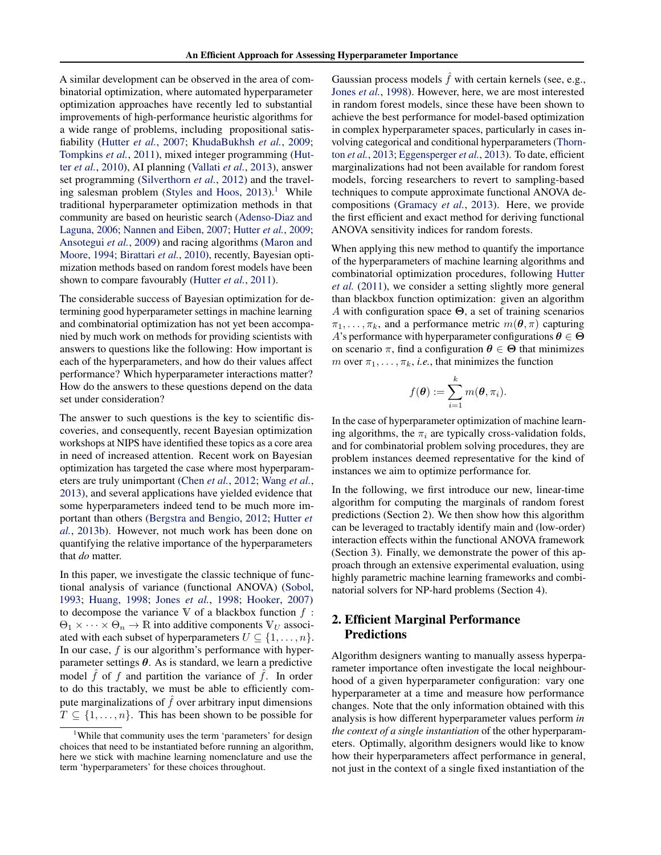<span id="page-1-0"></span>A similar development can be observed in the area of combinatorial optimization, where automated hyperparameter optimization approaches have recently led to substantial improvements of high-performance heuristic algorithms for a wide range of problems, including propositional satisfiability [\(Hutter](#page-8-0) *et al.*, [2007;](#page-8-0) [KhudaBukhsh](#page-8-0) *et al.*, [2009;](#page-8-0) [Tompkins](#page-9-0) *et al.*, [2011\)](#page-9-0), mixed integer programming [\(Hut](#page-8-0)ter *[et al.](#page-8-0)*, [2010\)](#page-8-0), AI planning [\(Vallati](#page-9-0) *et al.*, [2013\)](#page-9-0), answer set programming [\(Silverthorn](#page-9-0) *et al.*, [2012\)](#page-9-0) and the travel-ing salesman problem [\(Styles and Hoos,](#page-9-0)  $2013$ ).<sup>1</sup> While traditional hyperparameter optimization methods in that community are based on heuristic search [\(Adenso-Diaz and](#page-8-0) [Laguna,](#page-8-0) [2006;](#page-8-0) [Nannen and Eiben,](#page-9-0) [2007;](#page-9-0) [Hutter](#page-8-0) *et al.*, [2009;](#page-8-0) [Ansotegui](#page-8-0) *et al.*, [2009\)](#page-8-0) and racing algorithms [\(Maron and](#page-9-0) [Moore,](#page-9-0) [1994;](#page-9-0) [Birattari](#page-8-0) *et al.*, [2010\)](#page-8-0), recently, Bayesian optimization methods based on random forest models have been shown to compare favourably [\(Hutter](#page-8-0) *et al.*, [2011\)](#page-8-0).

The considerable success of Bayesian optimization for determining good hyperparameter settings in machine learning and combinatorial optimization has not yet been accompanied by much work on methods for providing scientists with answers to questions like the following: How important is each of the hyperparameters, and how do their values affect performance? Which hyperparameter interactions matter? How do the answers to these questions depend on the data set under consideration?

The answer to such questions is the key to scientific discoveries, and consequently, recent Bayesian optimization workshops at NIPS have identified these topics as a core area in need of increased attention. Recent work on Bayesian optimization has targeted the case where most hyperparameters are truly unimportant [\(Chen](#page-8-0) *et al.*, [2012;](#page-8-0) [Wang](#page-9-0) *et al.*, [2013\)](#page-9-0), and several applications have yielded evidence that some hyperparameters indeed tend to be much more important than others [\(Bergstra and Bengio,](#page-8-0) [2012;](#page-8-0) [Hutter](#page-8-0) *et [al.](#page-8-0)*, [2013b\)](#page-8-0). However, not much work has been done on quantifying the relative importance of the hyperparameters that *do* matter.

In this paper, we investigate the classic technique of functional analysis of variance (functional ANOVA) [\(Sobol,](#page-9-0) [1993;](#page-9-0) [Huang,](#page-8-0) [1998;](#page-8-0) [Jones](#page-8-0) *et al.*, [1998;](#page-8-0) [Hooker,](#page-8-0) [2007\)](#page-8-0) to decompose the variance V of a blackbox function  $f$ :  $\Theta_1 \times \cdots \times \Theta_n \to \mathbb{R}$  into additive components  $V_U$  associated with each subset of hyperparameters  $U \subseteq \{1, \ldots, n\}$ . In our case,  $f$  is our algorithm's performance with hyperparameter settings  $\theta$ . As is standard, we learn a predictive model  $\hat{f}$  of f and partition the variance of  $\hat{f}$ . In order to do this tractably, we must be able to efficiently compute marginalizations of  $\hat{f}$  over arbitrary input dimensions  $T \subseteq \{1, \ldots, n\}$ . This has been shown to be possible for

Gaussian process models  $\hat{f}$  with certain kernels (see, e.g., [Jones](#page-8-0) *et al.*, [1998\)](#page-8-0). However, here, we are most interested in random forest models, since these have been shown to achieve the best performance for model-based optimization in complex hyperparameter spaces, particularly in cases involving categorical and conditional hyperparameters [\(Thorn](#page-9-0)ton *[et al.](#page-9-0)*, [2013;](#page-9-0) [Eggensperger](#page-8-0) *et al.*, [2013\)](#page-8-0). To date, efficient marginalizations had not been available for random forest models, forcing researchers to revert to sampling-based techniques to compute approximate functional ANOVA decompositions [\(Gramacy](#page-8-0) *et al.*, [2013\)](#page-8-0). Here, we provide the first efficient and exact method for deriving functional ANOVA sensitivity indices for random forests.

When applying this new method to quantify the importance of the hyperparameters of machine learning algorithms and combinatorial optimization procedures, following [Hutter](#page-8-0) *[et al.](#page-8-0)* [\(2011\)](#page-8-0), we consider a setting slightly more general than blackbox function optimization: given an algorithm A with configuration space  $\Theta$ , a set of training scenarios  $\pi_1, \ldots, \pi_k$ , and a performance metric  $m(\theta, \pi)$  capturing A's performance with hyperparameter configurations  $\theta \in \Theta$ on scenario  $\pi$ , find a configuration  $\theta \in \Theta$  that minimizes m over  $\pi_1, \ldots, \pi_k$ , *i.e.*, that minimizes the function

$$
f(\boldsymbol{\theta}) := \sum_{i=1}^k m(\boldsymbol{\theta}, \pi_i).
$$

In the case of hyperparameter optimization of machine learning algorithms, the  $\pi_i$  are typically cross-validation folds, and for combinatorial problem solving procedures, they are problem instances deemed representative for the kind of instances we aim to optimize performance for.

In the following, we first introduce our new, linear-time algorithm for computing the marginals of random forest predictions (Section 2). We then show how this algorithm can be leveraged to tractably identify main and (low-order) interaction effects within the functional ANOVA framework (Section 3). Finally, we demonstrate the power of this approach through an extensive experimental evaluation, using highly parametric machine learning frameworks and combinatorial solvers for NP-hard problems (Section 4).

# 2. Efficient Marginal Performance Predictions

Algorithm designers wanting to manually assess hyperparameter importance often investigate the local neighbourhood of a given hyperparameter configuration: vary one hyperparameter at a time and measure how performance changes. Note that the only information obtained with this analysis is how different hyperparameter values perform *in the context of a single instantiation* of the other hyperparameters. Optimally, algorithm designers would like to know how their hyperparameters affect performance in general, not just in the context of a single fixed instantiation of the

<sup>&</sup>lt;sup>1</sup>While that community uses the term 'parameters' for design choices that need to be instantiated before running an algorithm, here we stick with machine learning nomenclature and use the term 'hyperparameters' for these choices throughout.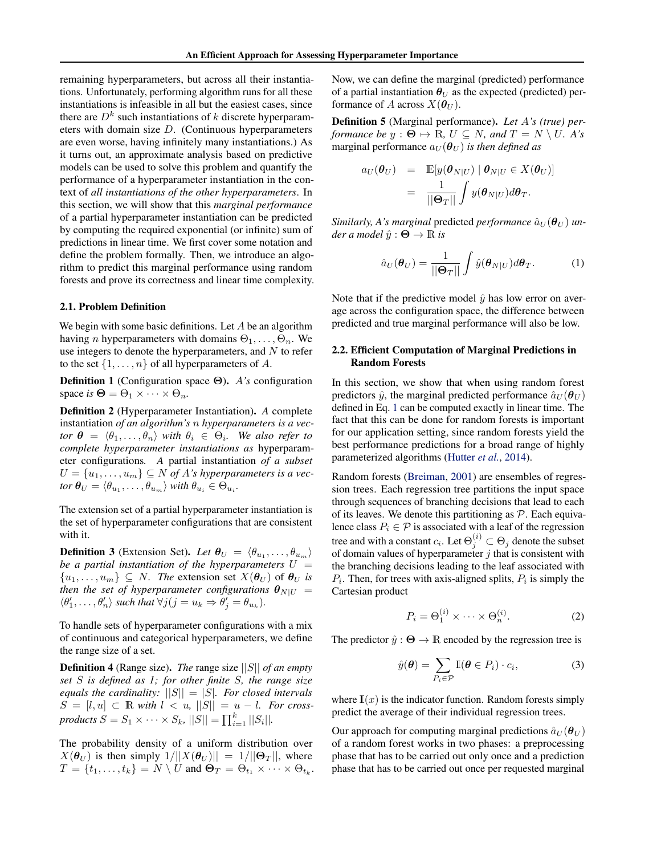<span id="page-2-0"></span>remaining hyperparameters, but across all their instantiations. Unfortunately, performing algorithm runs for all these instantiations is infeasible in all but the easiest cases, since there are  $D<sup>k</sup>$  such instantiations of k discrete hyperparameters with domain size  $D$ . (Continuous hyperparameters are even worse, having infinitely many instantiations.) As it turns out, an approximate analysis based on predictive models can be used to solve this problem and quantify the performance of a hyperparameter instantiation in the context of *all instantiations of the other hyperparameters*. In this section, we will show that this *marginal performance* of a partial hyperparameter instantiation can be predicted by computing the required exponential (or infinite) sum of predictions in linear time. We first cover some notation and define the problem formally. Then, we introduce an algorithm to predict this marginal performance using random forests and prove its correctness and linear time complexity.

#### 2.1. Problem Definition

We begin with some basic definitions. Let  $A$  be an algorithm having *n* hyperparameters with domains  $\Theta_1, \ldots, \Theta_n$ . We use integers to denote the hyperparameters, and  $N$  to refer to the set  $\{1, \ldots, n\}$  of all hyperparameters of A.

Definition 1 (Configuration space Θ). A*'s* configuration space *is*  $\Theta = \Theta_1 \times \cdots \times \Theta_n$ .

Definition 2 (Hyperparameter Instantiation). *A* complete instantiation *of an algorithm's* n *hyperparameters is a vector*  $\boldsymbol{\theta} = \langle \theta_1, \dots, \theta_n \rangle$  *with*  $\theta_i \in \Theta_i$ *. We also refer to complete hyperparameter instantiations as* hyperparameter configurations*. A* partial instantiation *of a subset*  $U = \{u_1, \ldots, u_m\} \subseteq N$  of A's hyperparameters is a vec- $\iota$ *tor*  $\boldsymbol{\theta}_{U} = \langle \theta_{u_1}, \dots, \theta_{u_m} \rangle$  with  $\theta_{u_i} \in \Theta_{u_i}$ .

The extension set of a partial hyperparameter instantiation is the set of hyperparameter configurations that are consistent with it.

**Definition 3** (Extension Set). Let  $\theta_U = \langle \theta_{u_1}, \dots, \theta_{u_m} \rangle$ *be a partial instantiation of the hyperparameters*  $U =$  $\{u_1, \ldots, u_m\} \subseteq N$ . The extension set  $X(\theta_U)$  of  $\theta_U$  is *then the set of hyperparameter configurations*  $\theta_{N|U}$  =  $\langle \theta'_1, \ldots, \theta'_n \rangle$  such that  $\forall j$   $(j = u_k \Rightarrow \theta'_j = \theta_{u_k})$ .

To handle sets of hyperparameter configurations with a mix of continuous and categorical hyperparameters, we define the range size of a set.

Definition 4 (Range size). *The* range size ||S|| *of an empty set* S *is defined as 1; for other finite* S*, the range size equals the cardinality:* ||S|| = |S|*. For closed intervals*  $S = [l, u] \subset \mathbb{R}$  with  $l < u$ ,  $||S|| = u - l$ . For cross*products*  $S = S_1 \times \cdots \times S_k$ ,  $||S|| = \prod_{i=1}^k ||S_i||$ .

The probability density of a uniform distribution over  $X(\theta_U)$  is then simply  $1/||X(\theta_U)|| = 1/||\Theta_T||$ , where  $T = \{t_1, \ldots, t_k\} = N \setminus U$  and  $\mathbf{\Theta}_T = \Theta_{t_1} \times \cdots \times \Theta_{t_k}$ . Now, we can define the marginal (predicted) performance of a partial instantiation  $\theta_U$  as the expected (predicted) performance of A across  $X(\theta_U)$ .

Definition 5 (Marginal performance). *Let* A*'s (true) performance be*  $y : \Theta \mapsto \mathbb{R}$ ,  $U \subseteq N$ , and  $T = N \setminus U$ . A's marginal performance  $a_U(\theta_U)$  *is then defined as* 

$$
a_U(\boldsymbol{\theta}_U) = \mathbb{E}[y(\boldsymbol{\theta}_{N|U}) | \boldsymbol{\theta}_{N|U} \in X(\boldsymbol{\theta}_U)]
$$
  
= 
$$
\frac{1}{\|\boldsymbol{\Theta}_T\|} \int y(\boldsymbol{\theta}_{N|U}) d\boldsymbol{\theta}_T.
$$

*Similarly, A's marginal* predicted *performance*  $\hat{a}_{U}(\theta_{U})$  *un* $der a model \hat{y}: \Theta \rightarrow \mathbb{R}$  *is* 

$$
\hat{a}_U(\boldsymbol{\theta}_U) = \frac{1}{\|\boldsymbol{\Theta}_T\|} \int \hat{y}(\boldsymbol{\theta}_{N|U}) d\boldsymbol{\theta}_T.
$$
 (1)

Note that if the predictive model  $\hat{y}$  has low error on average across the configuration space, the difference between predicted and true marginal performance will also be low.

## 2.2. Efficient Computation of Marginal Predictions in Random Forests

In this section, we show that when using random forest predictors  $\hat{y}$ , the marginal predicted performance  $\hat{a}_U(\theta_U)$ defined in Eq. 1 can be computed exactly in linear time. The fact that this can be done for random forests is important for our application setting, since random forests yield the best performance predictions for a broad range of highly parameterized algorithms [\(Hutter](#page-8-0) *et al.*, [2014\)](#page-8-0).

Random forests [\(Breiman,](#page-8-0) [2001\)](#page-8-0) are ensembles of regression trees. Each regression tree partitions the input space through sequences of branching decisions that lead to each of its leaves. We denote this partitioning as  $P$ . Each equivalence class  $P_i \in \mathcal{P}$  is associated with a leaf of the regression tree and with a constant  $c_i$ . Let  $\Theta_j^{(i)} \subset \Theta_j$  denote the subset of domain values of hyperparameter  $j$  that is consistent with the branching decisions leading to the leaf associated with  $P_i$ . Then, for trees with axis-aligned splits,  $P_i$  is simply the Cartesian product

$$
P_i = \Theta_1^{(i)} \times \dots \times \Theta_n^{(i)}.
$$
 (2)

The predictor  $\hat{y}$  :  $\Theta \rightarrow \mathbb{R}$  encoded by the regression tree is

$$
\hat{y}(\boldsymbol{\theta}) = \sum_{P_i \in \mathcal{P}} \mathbb{I}(\boldsymbol{\theta} \in P_i) \cdot c_i,
$$
\n(3)

where  $\mathbb{I}(x)$  is the indicator function. Random forests simply predict the average of their individual regression trees.

Our approach for computing marginal predictions  $\hat{a}_U(\theta_U)$ of a random forest works in two phases: a preprocessing phase that has to be carried out only once and a prediction phase that has to be carried out once per requested marginal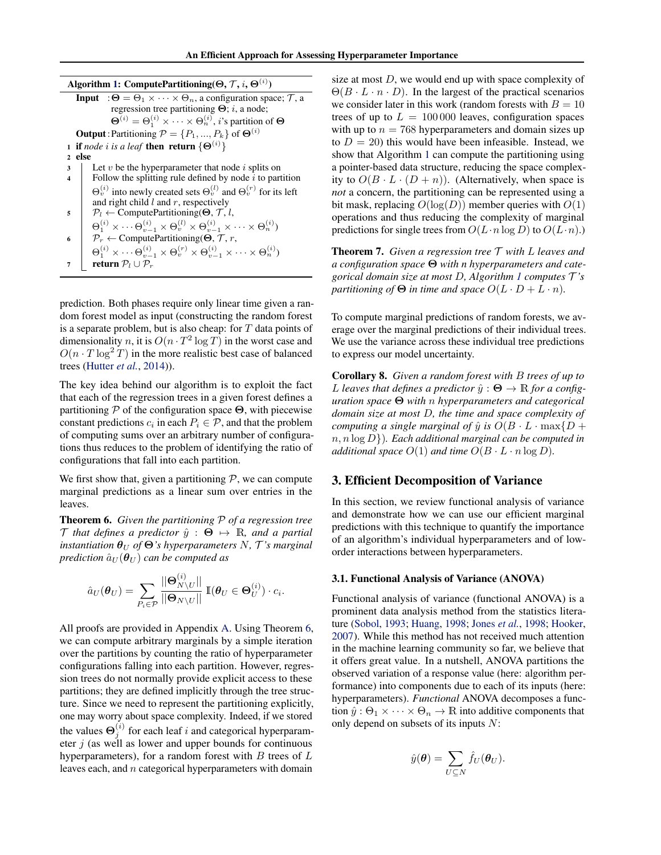<span id="page-3-0"></span>Algorithm 1: ComputePartitioning( $\Theta, \mathcal{T}, i, \Theta^{(i)})$ 

**Input** :  $\Theta = \Theta_1 \times \cdots \times \Theta_n$ , a configuration space;  $\mathcal{T}$ , a regression tree partitioning  $\Theta$ ; *i*, a node;  $\Theta^{(i)} = \Theta_1^{(i)} \times \cdots \times \Theta_n^{(i)},$  *i*'s partition of  $\Theta$ **Output**: Partitioning  $P = \{P_1, ..., P_k\}$  of  $\Theta^{(i)}$ 1 if *node i* is a leaf **then return**  $\{\Theta^{(i)}\}$ <sup>2</sup> else  $3$  Let v be the hyperparameter that node i splits on 4 | Follow the splitting rule defined by node  $i$  to partition  $\Theta_v^{(i)}$  into newly created sets  $\Theta_v^{(l)}$  and  $\Theta_v^{(r)}$  for its left and right child  $l$  and  $r$ , respectively 5  $P_l \leftarrow$  ComputePartitioning( $\Theta$ ,  $\mathcal{T}$ , l,  $\Theta_1^{(i)}\times\cdots\Theta_{v-1}^{(i)}\times\Theta_v^{(l)}\times\Theta_{v-1}^{(i)}\times\cdots\times\Theta_n^{(i)})$ 6  $\bigcap$   $\mathcal{P}_r \leftarrow$  ComputePartitioning( $\Theta$ ,  $\mathcal{T}, r$ ,  $\Theta_1^{(i)} \times \cdots \Theta_{v-1}^{(i)} \times \Theta_v^{(r)} \times \Theta_{v-1}^{(i)} \times \cdots \times \Theta_n^{(i)}$ return  $\mathcal{P}_l \cup \mathcal{P}_r$ 

prediction. Both phases require only linear time given a random forest model as input (constructing the random forest is a separate problem, but is also cheap: for  $T$  data points of dimensionality n, it is  $O(n \cdot T^2 \log T)$  in the worst case and  $O(n \cdot T \log^2 T)$  in the more realistic best case of balanced trees [\(Hutter](#page-8-0) *et al.*, [2014\)](#page-8-0)).

The key idea behind our algorithm is to exploit the fact that each of the regression trees in a given forest defines a partitioning  $P$  of the configuration space  $\Theta$ , with piecewise constant predictions  $c_i$  in each  $P_i \in \mathcal{P}$ , and that the problem of computing sums over an arbitrary number of configurations thus reduces to the problem of identifying the ratio of configurations that fall into each partition.

We first show that, given a partitioning  $P$ , we can compute marginal predictions as a linear sum over entries in the leaves.

Theorem 6. *Given the partitioning* P *of a regression tree* T that defines a predictor  $\hat{y}: \Theta \mapsto \mathbb{R}$ , and a partial *instantiation*  $\theta_U$  *of*  $\Theta$ *'s hyperparameters*  $N$ *,*  $\mathcal{T}$ *'s marginal prediction*  $\hat{a}_U(\theta_U)$  *can be computed as* 

$$
\hat{a}_U(\boldsymbol{\theta}_U) = \sum_{P_i \in \mathcal{P}} \frac{\|\mathbf{\Theta}_{N \setminus U}^{(i)}\|}{\|\mathbf{\Theta}_{N \setminus U}\|} \mathbb{I}(\boldsymbol{\theta}_U \in \mathbf{\Theta}_U^{(i)}) \cdot c_i.
$$

All proofs are provided in Appendix [A.](#page-9-0) Using Theorem 6, we can compute arbitrary marginals by a simple iteration over the partitions by counting the ratio of hyperparameter configurations falling into each partition. However, regression trees do not normally provide explicit access to these partitions; they are defined implicitly through the tree structure. Since we need to represent the partitioning explicitly, one may worry about space complexity. Indeed, if we stored the values  $\Theta_j^{(i)}$  for each leaf i and categorical hyperparameter  $i$  (as well as lower and upper bounds for continuous hyperparameters), for a random forest with  $B$  trees of  $L$ leaves each, and n categorical hyperparameters with domain

size at most  $D$ , we would end up with space complexity of  $\Theta(B \cdot L \cdot n \cdot D)$ . In the largest of the practical scenarios we consider later in this work (random forests with  $B = 10$ trees of up to  $L = 100000$  leaves, configuration spaces with up to  $n = 768$  hyperparameters and domain sizes up to  $D = 20$ ) this would have been infeasible. Instead, we show that Algorithm 1 can compute the partitioning using a pointer-based data structure, reducing the space complexity to  $O(B \cdot L \cdot (D + n))$ . (Alternatively, when space is *not* a concern, the partitioning can be represented using a bit mask, replacing  $O(log(D))$  member queries with  $O(1)$ operations and thus reducing the complexity of marginal predictions for single trees from  $O(L \cdot n \log D)$  to  $O(L \cdot n)$ .

Theorem 7. *Given a regression tree* T *with* L *leaves and a configuration space* Θ *with n hyperparameters and categorical domain size at most* D*, Algorithm 1 computes* T *'s partitioning of*  $\Theta$  *in time and space*  $O(L \cdot D + L \cdot n)$ *.* 

To compute marginal predictions of random forests, we average over the marginal predictions of their individual trees. We use the variance across these individual tree predictions to express our model uncertainty.

Corollary 8. *Given a random forest with* B *trees of up to* L leaves that defines a predictor  $\hat{y}: \Theta \to \mathbb{R}$  for a config*uration space* Θ *with* n *hyperparameters and categorical domain size at most* D*, the time and space complexity of computing a single marginal of*  $\hat{y}$  *is*  $O(B \cdot L \cdot \max\{D + \hat{y}\})$ n, n log D})*. Each additional marginal can be computed in additional space*  $O(1)$  *and time*  $O(B \cdot L \cdot n \log D)$ *.* 

# 3. Efficient Decomposition of Variance

In this section, we review functional analysis of variance and demonstrate how we can use our efficient marginal predictions with this technique to quantify the importance of an algorithm's individual hyperparameters and of loworder interactions between hyperparameters.

#### 3.1. Functional Analysis of Variance (ANOVA)

Functional analysis of variance (functional ANOVA) is a prominent data analysis method from the statistics literature [\(Sobol,](#page-9-0) [1993;](#page-9-0) [Huang,](#page-8-0) [1998;](#page-8-0) [Jones](#page-8-0) *et al.*, [1998;](#page-8-0) [Hooker,](#page-8-0) [2007\)](#page-8-0). While this method has not received much attention in the machine learning community so far, we believe that it offers great value. In a nutshell, ANOVA partitions the observed variation of a response value (here: algorithm performance) into components due to each of its inputs (here: hyperparameters). *Functional* ANOVA decomposes a function  $\hat{y}$  :  $\Theta_1 \times \cdots \times \Theta_n \to \mathbb{R}$  into additive components that only depend on subsets of its inputs N:

$$
\hat{y}(\boldsymbol{\theta}) = \sum_{U \subseteq N} \hat{f}_U(\boldsymbol{\theta}_U).
$$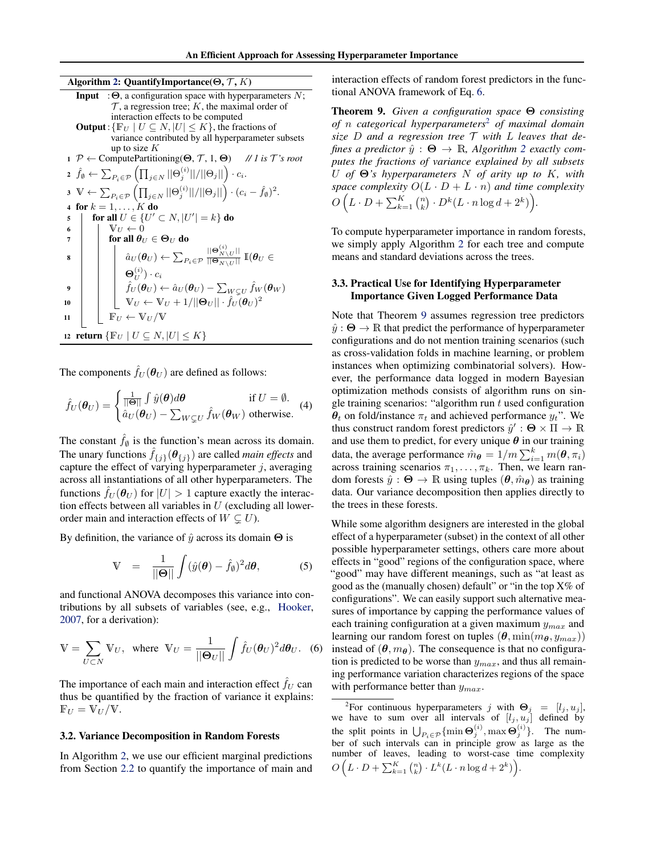<span id="page-4-0"></span>Algorithm 2: QuantifyImportance( $\Theta$ ,  $\mathcal{T}$ ,  $K$ )

|    | <b>Input</b> : $\Theta$ , a configuration space with hyperparameters N;                                                                                                                 |
|----|-----------------------------------------------------------------------------------------------------------------------------------------------------------------------------------------|
|    | $\mathcal T$ , a regression tree; K, the maximal order of                                                                                                                               |
|    | interaction effects to be computed                                                                                                                                                      |
|    | <b>Output</b> : $\{F_U   U \subseteq N,  U  \leq K\}$ , the fractions of                                                                                                                |
|    | variance contributed by all hyperparameter subsets                                                                                                                                      |
|    | up to size $K$                                                                                                                                                                          |
|    | $1 \mathcal{P} \leftarrow$ Compute Partitioning( $\Theta$ , $\mathcal{T}$ , $1$ , $\Theta$ ) // 1 is $\mathcal{T}'$ 's root                                                             |
|    | 2 $\hat{f}_{\emptyset} \leftarrow \sum_{P_i \in \mathcal{P}} \left( \prod_{j \in N}   \Theta_j^{(i)}  /  \Theta_j   \right) \cdot c_i.$                                                 |
|    | 3 $\mathbb{V} \leftarrow \sum_{P_i \in \mathcal{P}} \left( \prod_{j \in N}   \Theta_j^{(i)}  /  \Theta_j   \right) \cdot (c_i - \hat{f}_\emptyset)^2.$                                  |
|    | 4 for $k = 1, \ldots, K$ do                                                                                                                                                             |
| 5  | for all $U \in \{U' \subset N,  U'  = k\}$ do                                                                                                                                           |
| 6  | $V_U \leftarrow 0$                                                                                                                                                                      |
| 7  | for all $\theta_U \in \Theta_U$ do                                                                                                                                                      |
| 8  | $\hat{a}_U(\pmb{\theta}_U) \leftarrow \sum_{P_i \in \mathcal{P}} \frac{  \mathbf{\Theta}_{N\backslash U}^{(i)}  }{  \mathbf{\Theta}_{N\backslash H}  } ~\mathbb{I}(\pmb{\theta}_U \in$  |
|    | $\mathbf{\Theta}_{II}^{(i)}$ ) · $c_i$                                                                                                                                                  |
| 9  | $\hat{f}_U(\theta_U) \leftarrow \hat{a}_U(\theta_U) - \sum_{W \subsetneq U} \hat{f}_W(\theta_W)$<br>$\mathbb{V}_U \leftarrow \mathbb{V}_U + 1/  \Theta_U   \cdot \hat{f}_U(\theta_U)^2$ |
| 10 |                                                                                                                                                                                         |
| 11 | $\mathbb{F}_U \leftarrow \mathbb{V}_U / \mathbb{V}$                                                                                                                                     |
|    | 12 return $\{F_U   U \subseteq N,  U  \leq K\}$                                                                                                                                         |

The components  $\hat{f}_U(\theta_U)$  are defined as follows:

$$
\hat{f}_U(\boldsymbol{\theta}_U) = \begin{cases}\n\frac{1}{||\boldsymbol{\Theta}||} \int \hat{y}(\boldsymbol{\theta}) d\boldsymbol{\theta} & \text{if } U = \emptyset. \\
\hat{a}_U(\boldsymbol{\theta}_U) - \sum_{W \subsetneq U} \hat{f}_W(\boldsymbol{\theta}_W) & \text{otherwise.} \n\end{cases}
$$
(4)

The constant  $\hat{f}_{\emptyset}$  is the function's mean across its domain. The unary functions  $f_{\{j\}}(\theta_{\{j\}})$  are called *main effects* and capture the effect of varying hyperparameter  $j$ , averaging across all instantiations of all other hyperparameters. The functions  $f_U(\theta_U)$  for  $|U| > 1$  capture exactly the interaction effects between all variables in  $U$  (excluding all lowerorder main and interaction effects of  $W \subset U$ ).

By definition, the variance of  $\hat{y}$  across its domain  $\Theta$  is

$$
\mathbb{V} = \frac{1}{\|\boldsymbol{\Theta}\|} \int (\hat{y}(\boldsymbol{\theta}) - \hat{f}_{\boldsymbol{\theta}})^2 d\boldsymbol{\theta}, \tag{5}
$$

and functional ANOVA decomposes this variance into contributions by all subsets of variables (see, e.g., [Hooker,](#page-8-0) [2007,](#page-8-0) for a derivation):

$$
\mathbb{V} = \sum_{U \subset N} \mathbb{V}_U, \text{ where } \mathbb{V}_U = \frac{1}{\|\mathbf{\Theta}_U\|} \int \hat{f}_U(\boldsymbol{\theta}_U)^2 d\boldsymbol{\theta}_U. \tag{6}
$$

The importance of each main and interaction effect  $f_U$  can thus be quantified by the fraction of variance it explains:  $\mathbb{F}_U = \mathbb{V}_U / \mathbb{V}.$ 

#### 3.2. Variance Decomposition in Random Forests

In Algorithm 2, we use our efficient marginal predictions from Section [2.2](#page-2-0) to quantify the importance of main and interaction effects of random forest predictors in the functional ANOVA framework of Eq. 6.

Theorem 9. *Given a configuration space* Θ *consisting of* n *categorical hyperparameters*<sup>2</sup> *of maximal domain size* D *and a regression tree* T *with* L *leaves that defines a predictor*  $\hat{y}: \Theta \to \mathbb{R}$ , *Algorithm* 2 *exactly computes the fractions of variance explained by all subsets* U *of* Θ*'s hyperparameters* N *of arity up to* K*, with space complexity*  $O(L \cdot D + L \cdot n)$  *and time complexity*  $O\left(L \cdot D + \sum_{k=1}^K {n \choose k} \cdot D^k(L \cdot n \log d + 2^k)\right)$ .

To compute hyperparameter importance in random forests, we simply apply Algorithm 2 for each tree and compute means and standard deviations across the trees.

## 3.3. Practical Use for Identifying Hyperparameter Importance Given Logged Performance Data

Note that Theorem 9 assumes regression tree predictors  $\hat{y}: \Theta \to \mathbb{R}$  that predict the performance of hyperparameter configurations and do not mention training scenarios (such as cross-validation folds in machine learning, or problem instances when optimizing combinatorial solvers). However, the performance data logged in modern Bayesian optimization methods consists of algorithm runs on single training scenarios: "algorithm run  $t$  used configuration  $\theta_t$  on fold/instance  $\pi_t$  and achieved performance  $y_t$ ". We thus construct random forest predictors  $\hat{y}' : \Theta \times \Pi \to \mathbb{R}$ and use them to predict, for every unique  $\theta$  in our training data, the average performance  $\hat{m}_{\boldsymbol{\theta}} = 1/m \sum_{i=1}^{k} m(\boldsymbol{\theta}, \pi_i)$ across training scenarios  $\pi_1, \ldots, \pi_k$ . Then, we learn random forests  $\hat{y}: \Theta \to \mathbb{R}$  using tuples  $(\theta, \hat{m}_{\theta})$  as training data. Our variance decomposition then applies directly to the trees in these forests.

While some algorithm designers are interested in the global effect of a hyperparameter (subset) in the context of all other possible hyperparameter settings, others care more about effects in "good" regions of the configuration space, where "good" may have different meanings, such as "at least as good as the (manually chosen) default" or "in the top X% of configurations". We can easily support such alternative measures of importance by capping the performance values of each training configuration at a given maximum  $y_{max}$  and learning our random forest on tuples  $(\theta, \min(m_\theta, y_{max}))$ instead of  $(\theta, m_{\theta})$ . The consequence is that no configuration is predicted to be worse than  $y_{max}$ , and thus all remaining performance variation characterizes regions of the space with performance better than  $y_{max}$ .

<sup>&</sup>lt;sup>2</sup>For continuous hyperparameters j with  $\Theta_j = [l_j, u_j]$ , we have to sum over all intervals of  $[l_j, u_j]$  defined by the split points in  $\bigcup_{P_i \in \mathcal{P}} \{\min \Theta_j^{(i)}, \max \Theta_j^{(i)}\}.$  The number of such intervals can in principle grow as large as the number of leaves, leading to worst-case time complexity  $O\left(L \cdot D + \sum_{k=1}^K {n \choose k} \cdot L^k(L \cdot n \log d + 2^k)\right)$ .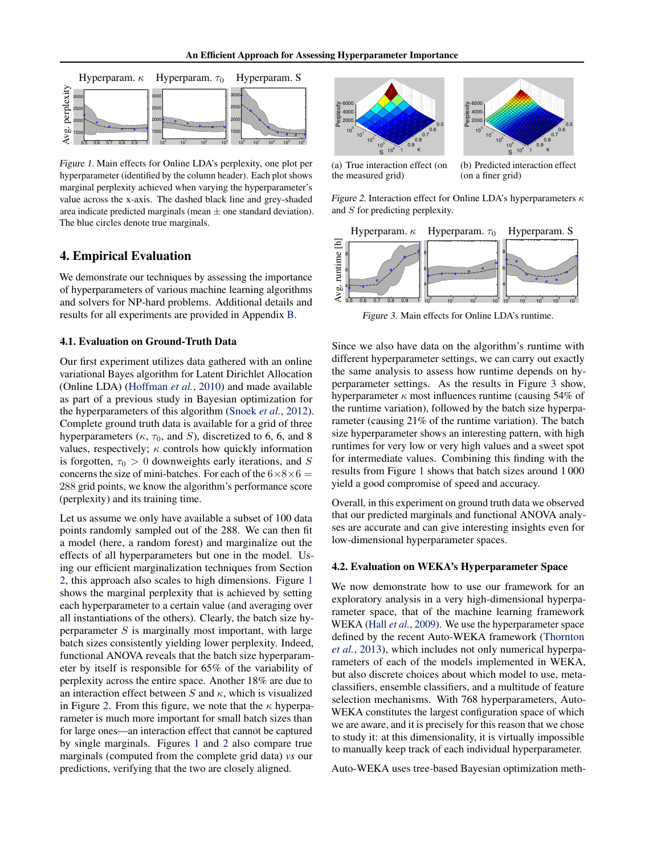<span id="page-5-0"></span>

Figure 1. Main effects for Online LDA's perplexity, one plot per hyperparameter (identified by the column header). Each plot shows marginal perplexity achieved when varying the hyperparameter's value across the x-axis. The dashed black line and grey-shaded area indicate predicted marginals (mean  $\pm$  one standard deviation). The blue circles denote true marginals.

# 4. Empirical Evaluation

We demonstrate our techniques by assessing the importance of hyperparameters of various machine learning algorithms and solvers for NP-hard problems. Additional details and results for all experiments are provided in Appendix [B.](#page-10-0)

#### 4.1. Evaluation on Ground-Truth Data

Our first experiment utilizes data gathered with an online variational Bayes algorithm for Latent Dirichlet Allocation (Online LDA) [\(Hoffman](#page-8-0) *et al.*, [2010\)](#page-8-0) and made available as part of a previous study in Bayesian optimization for the hyperparameters of this algorithm [\(Snoek](#page-9-0) *et al.*, [2012\)](#page-9-0). Complete ground truth data is available for a grid of three hyperparameters ( $\kappa$ ,  $\tau_0$ , and S), discretized to 6, 6, and 8 values, respectively;  $\kappa$  controls how quickly information is forgotten,  $\tau_0 > 0$  downweights early iterations, and S concerns the size of mini-batches. For each of the  $6\times8\times6=$ 288 grid points, we know the algorithm's performance score (perplexity) and its training time.

Let us assume we only have available a subset of 100 data points randomly sampled out of the 288. We can then fit a model (here, a random forest) and marginalize out the effects of all hyperparameters but one in the model. Using our efficient marginalization techniques from Section [2,](#page-1-0) this approach also scales to high dimensions. Figure 1 shows the marginal perplexity that is achieved by setting each hyperparameter to a certain value (and averaging over all instantiations of the others). Clearly, the batch size hyperparameter  $S$  is marginally most important, with large batch sizes consistently yielding lower perplexity. Indeed, functional ANOVA reveals that the batch size hyperparameter by itself is responsible for 65% of the variability of perplexity across the entire space. Another 18% are due to an interaction effect between  $S$  and  $\kappa$ , which is visualized in Figure 2. From this figure, we note that the  $\kappa$  hyperparameter is much more important for small batch sizes than for large ones—an interaction effect that cannot be captured by single marginals. Figures 1 and 2 also compare true marginals (computed from the complete grid data) *vs* our predictions, verifying that the two are closely aligned.





(a) True interaction effect (on the measured grid)

(b) Predicted interaction effect (on a finer grid)

Figure 2. Interaction effect for Online LDA's hyperparameters  $\kappa$ and S for predicting perplexity.



Figure 3. Main effects for Online LDA's runtime.

Since we also have data on the algorithm's runtime with different hyperparameter settings, we can carry out exactly the same analysis to assess how runtime depends on hyperparameter settings. As the results in Figure 3 show, hyperparameter  $\kappa$  most influences runtime (causing 54% of the runtime variation), followed by the batch size hyperparameter (causing 21% of the runtime variation). The batch size hyperparameter shows an interesting pattern, with high runtimes for very low or very high values and a sweet spot for intermediate values. Combining this finding with the results from Figure 1 shows that batch sizes around 1 000 yield a good compromise of speed and accuracy.

Overall, in this experiment on ground truth data we observed that our predicted marginals and functional ANOVA analyses are accurate and can give interesting insights even for low-dimensional hyperparameter spaces.

#### 4.2. Evaluation on WEKA's Hyperparameter Space

We now demonstrate how to use our framework for an exploratory analysis in a very high-dimensional hyperparameter space, that of the machine learning framework WEKA (Hall *[et al.](#page-8-0)*, [2009\)](#page-8-0). We use the hyperparameter space defined by the recent Auto-WEKA framework [\(Thornton](#page-9-0) *[et al.](#page-9-0)*, [2013\)](#page-9-0), which includes not only numerical hyperparameters of each of the models implemented in WEKA, but also discrete choices about which model to use, metaclassifiers, ensemble classifiers, and a multitude of feature selection mechanisms. With 768 hyperparameters, Auto-WEKA constitutes the largest configuration space of which we are aware, and it is precisely for this reason that we chose to study it: at this dimensionality, it is virtually impossible to manually keep track of each individual hyperparameter.

Auto-WEKA uses tree-based Bayesian optimization meth-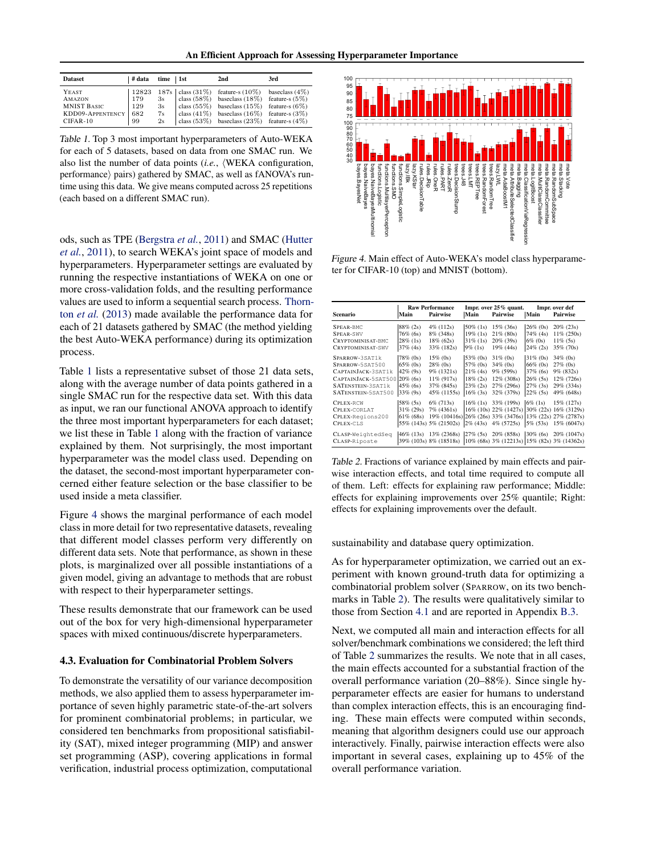An Efficient Approach for Assessing Hyperparameter Importance

<span id="page-6-0"></span>

| <b>Dataset</b>         | ∣# data | $time$   1st | 2nd                                                 | 3rd               |
|------------------------|---------|--------------|-----------------------------------------------------|-------------------|
| YEAST                  | 12823   |              | $187s$   class $(31\%)$ feature-s $(10\%)$          | baseclass $(4\%)$ |
| AMAZON                 | 179     | 3s           | class $(58\%)$ baseclass $(18\%)$ feature-s $(5\%)$ |                   |
| <b>MNIST BASIC</b>     | 129     | 3s           | class (55%) based as $(15\%)$ feature-s (6%)        |                   |
| KDD09-APPENTENCY   682 |         | 7s           | class $(41\%)$ baseclass $(16\%)$ feature-s $(3\%)$ |                   |
| $CIFAR-10$             | 99      | 2s           | class $(53\%)$ baseclass $(23\%)$ feature-s $(4\%)$ |                   |

Table 1. Top 3 most important hyperparameters of Auto-WEKA for each of 5 datasets, based on data from one SMAC run. We also list the number of data points (*i.e.*, (WEKA configuration, performance) pairs) gathered by SMAC, as well as fANOVA's runtime using this data. We give means computed across 25 repetitions (each based on a different SMAC run).

ods, such as TPE [\(Bergstra](#page-8-0) *et al.*, [2011\)](#page-8-0) and SMAC [\(Hutter](#page-8-0) *[et al.](#page-8-0)*, [2011\)](#page-8-0), to search WEKA's joint space of models and hyperparameters. Hyperparameter settings are evaluated by running the respective instantiations of WEKA on one or more cross-validation folds, and the resulting performance values are used to inform a sequential search process. [Thorn](#page-9-0)ton *[et al.](#page-9-0)* [\(2013\)](#page-9-0) made available the performance data for each of 21 datasets gathered by SMAC (the method yielding the best Auto-WEKA performance) during its optimization process.

Table 1 lists a representative subset of those 21 data sets, along with the average number of data points gathered in a single SMAC run for the respective data set. With this data as input, we ran our functional ANOVA approach to identify the three most important hyperparameters for each dataset; we list these in Table 1 along with the fraction of variance explained by them. Not surprisingly, the most important hyperparameter was the model class used. Depending on the dataset, the second-most important hyperparameter concerned either feature selection or the base classifier to be used inside a meta classifier.

Figure 4 shows the marginal performance of each model class in more detail for two representative datasets, revealing that different model classes perform very differently on different data sets. Note that performance, as shown in these plots, is marginalized over all possible instantiations of a given model, giving an advantage to methods that are robust with respect to their hyperparameter settings.

These results demonstrate that our framework can be used out of the box for very high-dimensional hyperparameter spaces with mixed continuous/discrete hyperparameters.

#### 4.3. Evaluation for Combinatorial Problem Solvers

To demonstrate the versatility of our variance decomposition methods, we also applied them to assess hyperparameter importance of seven highly parametric state-of-the-art solvers for prominent combinatorial problems; in particular, we considered ten benchmarks from propositional satisfiability (SAT), mixed integer programming (MIP) and answer set programming (ASP), covering applications in formal verification, industrial process optimization, computational



Figure 4. Main effect of Auto-WEKA's model class hyperparameter for CIFAR-10 (top) and MNIST (bottom).

| Scenario                                           | Main                    | <b>Raw Performance</b><br>Pairwise                                                          | Main                       | Impr. over 25% quant.<br><b>Pairwise</b>                               | Main                       | Impr. over def<br>Pairwise |
|----------------------------------------------------|-------------------------|---------------------------------------------------------------------------------------------|----------------------------|------------------------------------------------------------------------|----------------------------|----------------------------|
| SPEAR-BMC                                          | $88\%$ (2s)             | 4% (112s)                                                                                   | $50\%$ (1s)                | $15\%$ (36s)                                                           | $26\%$ (Os)                | $20\% (23s)$               |
| SPEAR-SWV<br>CRYPTOMINISAT-BMC                     | 76% (6s)<br>$28\%$ (1s) | 8% (348s)<br>$18\% (62s)$                                                                   | $19\%$ (1s)<br>$31\%$ (1s) | $21\%$ (80s)<br>$20\%$ (39s)                                           | 74% (4s)<br>$6\%$ (0s)     | 11% (250s)<br>$11\%$ (5s)  |
| CRYPTOMINISAT-SWV                                  | $37\%$ (4s)             | 33% (182s)                                                                                  | $9\%$ (1s)                 | $19\%$ (44s)                                                           | $24\%$ (2s)                | 35% (70s)                  |
| SPARROW-3SAT1k<br>SPARROW-5SAT500                  | 78% (0s)<br>$65\%$ (0s) | $15\%$ (0s)<br>$28\%$ (0s)                                                                  | 53% (0s)<br>57% (0s)       | $31\%$ (Os)<br>$34\%$ (0s)                                             | $31\%$ (Os)<br>66% (0s)    | $34\%$ (0s)<br>$27\%$ (0s) |
| CAPTAINJACK-3SAT1k<br>CAPTAINJACK-5SAT500 20% (6s) | $42\%$ (9s)             | $9\%$ (1321s)<br>$11\%$ (917s)                                                              | $21\%$ (4s)<br>$18\% (2s)$ | 9% (599s)<br>12% (308s)                                                | $37\%$ (6s)<br>$26\%$ (5s) | $9\%$ (832s)<br>12% (726s) |
| SATENSTEIN-3SAT1k<br>SATENSTEIN-5SAT500            | $45\%$ (6s)<br>33% (9s) | 37% (845s)<br>45% (1155s)                                                                   | $23\% (2s)$<br>$16\%$ (3s) | 27% (296s)<br>32% (379s)                                               | $27\%$ (3s)<br>$22\%$ (5s) | 29% (334s)<br>49% (648s)   |
| <b>CPLEX-RCW</b><br>CPLEX-CORLAT                   | 58% (5s)<br>31% (29s)   | $6\%$ (713s)<br>$7\%$ (4361s)                                                               |                            | $16\%$ (1s) 33\% (199s)<br>16% (10s) 22% (1427s) 30% (22s) 16% (3129s) | $6\%$ (1s)                 | 15% (127s)                 |
| CPLEX-Regions200<br>CPLEX-CLS                      | $61\%$ (68s)            | 19% (10416s) 26% (26s) 33% (3476s) 13% (22s) 27% (2787s)<br>55% (143s) 5% (21502s)          | $2\%$ (43s)                | 4% (5725s)                                                             | $5\%$ (53s)                | 15% (6047s)                |
| CLASP-WeightedSeg<br>CLASP-Riposte                 |                         | 46% (13s) 13% (2368s)<br>39% (103s) 8% (18518s) 10% (68s) 3% (12213s) 15% (82s) 3% (14362s) |                            | $27\%$ (5s) $20\%$ (858s)                                              | $30\%$ (6s)                | 20% (1047s)                |

Table 2. Fractions of variance explained by main effects and pairwise interaction effects, and total time required to compute all of them. Left: effects for explaining raw performance; Middle: effects for explaining improvements over 25% quantile; Right: effects for explaining improvements over the default.

sustainability and database query optimization.

As for hyperparameter optimization, we carried out an experiment with known ground-truth data for optimizing a combinatorial problem solver (SPARROW, on its two benchmarks in Table 2). The results were qualitatively similar to those from Section [4.1](#page-5-0) and are reported in Appendix [B.3.](#page-10-0)

Next, we computed all main and interaction effects for all solver/benchmark combinations we considered; the left third of Table 2 summarizes the results. We note that in all cases, the main effects accounted for a substantial fraction of the overall performance variation (20–88%). Since single hyperparameter effects are easier for humans to understand than complex interaction effects, this is an encouraging finding. These main effects were computed within seconds, meaning that algorithm designers could use our approach interactively. Finally, pairwise interaction effects were also important in several cases, explaining up to 45% of the overall performance variation.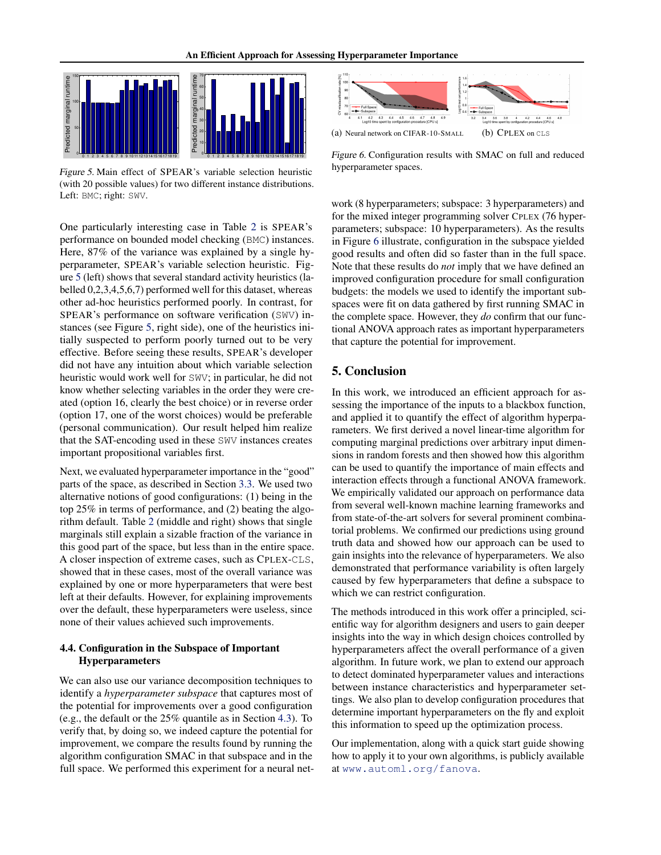

Figure 5. Main effect of SPEAR's variable selection heuristic (with 20 possible values) for two different instance distributions. Left: BMC; right: SWV.

One particularly interesting case in Table [2](#page-6-0) is SPEAR's performance on bounded model checking (BMC) instances. Here, 87% of the variance was explained by a single hyperparameter, SPEAR's variable selection heuristic. Figure 5 (left) shows that several standard activity heuristics (labelled 0,2,3,4,5,6,7) performed well for this dataset, whereas other ad-hoc heuristics performed poorly. In contrast, for SPEAR's performance on software verification (SWV) instances (see Figure 5, right side), one of the heuristics initially suspected to perform poorly turned out to be very effective. Before seeing these results, SPEAR's developer did not have any intuition about which variable selection heuristic would work well for SWV; in particular, he did not know whether selecting variables in the order they were created (option 16, clearly the best choice) or in reverse order (option 17, one of the worst choices) would be preferable (personal communication). Our result helped him realize that the SAT-encoding used in these SWV instances creates important propositional variables first.

Next, we evaluated hyperparameter importance in the "good" parts of the space, as described in Section [3.3.](#page-4-0) We used two alternative notions of good configurations: (1) being in the top 25% in terms of performance, and (2) beating the algorithm default. Table [2](#page-6-0) (middle and right) shows that single marginals still explain a sizable fraction of the variance in this good part of the space, but less than in the entire space. A closer inspection of extreme cases, such as CPLEX-CLS, showed that in these cases, most of the overall variance was explained by one or more hyperparameters that were best left at their defaults. However, for explaining improvements over the default, these hyperparameters were useless, since none of their values achieved such improvements.

## 4.4. Configuration in the Subspace of Important Hyperparameters

We can also use our variance decomposition techniques to identify a *hyperparameter subspace* that captures most of the potential for improvements over a good configuration (e.g., the default or the 25% quantile as in Section [4.3\)](#page-6-0). To verify that, by doing so, we indeed capture the potential for improvement, we compare the results found by running the algorithm configuration SMAC in that subspace and in the full space. We performed this experiment for a neural net-



Figure 6. Configuration results with SMAC on full and reduced hyperparameter spaces.

work (8 hyperparameters; subspace: 3 hyperparameters) and for the mixed integer programming solver CPLEX (76 hyperparameters; subspace: 10 hyperparameters). As the results in Figure 6 illustrate, configuration in the subspace yielded good results and often did so faster than in the full space. Note that these results do *not* imply that we have defined an improved configuration procedure for small configuration budgets: the models we used to identify the important subspaces were fit on data gathered by first running SMAC in the complete space. However, they *do* confirm that our functional ANOVA approach rates as important hyperparameters that capture the potential for improvement.

# 5. Conclusion

In this work, we introduced an efficient approach for assessing the importance of the inputs to a blackbox function, and applied it to quantify the effect of algorithm hyperparameters. We first derived a novel linear-time algorithm for computing marginal predictions over arbitrary input dimensions in random forests and then showed how this algorithm can be used to quantify the importance of main effects and interaction effects through a functional ANOVA framework. We empirically validated our approach on performance data from several well-known machine learning frameworks and from state-of-the-art solvers for several prominent combinatorial problems. We confirmed our predictions using ground truth data and showed how our approach can be used to gain insights into the relevance of hyperparameters. We also demonstrated that performance variability is often largely caused by few hyperparameters that define a subspace to which we can restrict configuration.

The methods introduced in this work offer a principled, scientific way for algorithm designers and users to gain deeper insights into the way in which design choices controlled by hyperparameters affect the overall performance of a given algorithm. In future work, we plan to extend our approach to detect dominated hyperparameter values and interactions between instance characteristics and hyperparameter settings. We also plan to develop configuration procedures that determine important hyperparameters on the fly and exploit this information to speed up the optimization process.

Our implementation, along with a quick start guide showing how to apply it to your own algorithms, is publicly available at <www.automl.org/fanova>.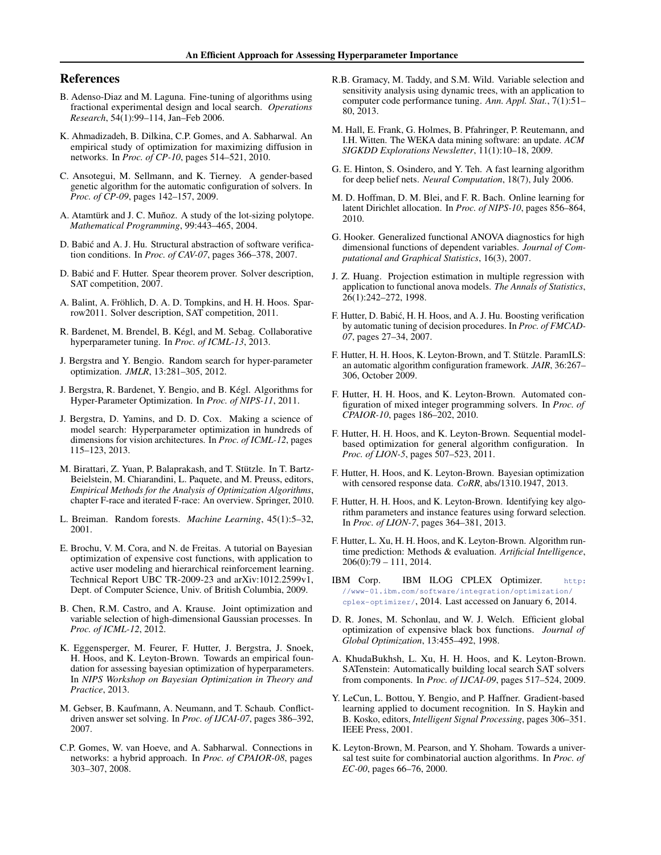# <span id="page-8-0"></span>References

- B. Adenso-Diaz and M. Laguna. Fine-tuning of algorithms using fractional experimental design and local search. *Operations Research*, 54(1):99–114, Jan–Feb 2006.
- K. Ahmadizadeh, B. Dilkina, C.P. Gomes, and A. Sabharwal. An empirical study of optimization for maximizing diffusion in networks. In *Proc. of CP-10*, pages 514–521, 2010.
- C. Ansotegui, M. Sellmann, and K. Tierney. A gender-based genetic algorithm for the automatic configuration of solvers. In *Proc. of CP-09*, pages 142–157, 2009.
- A. Atamtürk and J. C. Muñoz. A study of the lot-sizing polytope. *Mathematical Programming*, 99:443–465, 2004.
- D. Babic and A. J. Hu. Structural abstraction of software verifica- ´ tion conditions. In *Proc. of CAV-07*, pages 366–378, 2007.
- D. Babic and F. Hutter. Spear theorem prover. Solver description, ´ SAT competition, 2007.
- A. Balint, A. Fröhlich, D. A. D. Tompkins, and H. H. Hoos. Sparrow2011. Solver description, SAT competition, 2011.
- R. Bardenet, M. Brendel, B. Kegl, and M. Sebag. Collaborative ´ hyperparameter tuning. In *Proc. of ICML-13*, 2013.
- J. Bergstra and Y. Bengio. Random search for hyper-parameter optimization. *JMLR*, 13:281–305, 2012.
- J. Bergstra, R. Bardenet, Y. Bengio, and B. Kegl. Algorithms for ´ Hyper-Parameter Optimization. In *Proc. of NIPS-11*, 2011.
- J. Bergstra, D. Yamins, and D. D. Cox. Making a science of model search: Hyperparameter optimization in hundreds of dimensions for vision architectures. In *Proc. of ICML-12*, pages 115–123, 2013.
- M. Birattari, Z. Yuan, P. Balaprakash, and T. Stützle. In T. Bartz-Beielstein, M. Chiarandini, L. Paquete, and M. Preuss, editors, *Empirical Methods for the Analysis of Optimization Algorithms*, chapter F-race and iterated F-race: An overview. Springer, 2010.
- L. Breiman. Random forests. *Machine Learning*, 45(1):5–32, 2001.
- E. Brochu, V. M. Cora, and N. de Freitas. A tutorial on Bayesian optimization of expensive cost functions, with application to active user modeling and hierarchical reinforcement learning. Technical Report UBC TR-2009-23 and arXiv:1012.2599v1, Dept. of Computer Science, Univ. of British Columbia, 2009.
- B. Chen, R.M. Castro, and A. Krause. Joint optimization and variable selection of high-dimensional Gaussian processes. In *Proc. of ICML-12*, 2012.
- K. Eggensperger, M. Feurer, F. Hutter, J. Bergstra, J. Snoek, H. Hoos, and K. Leyton-Brown. Towards an empirical foundation for assessing bayesian optimization of hyperparameters. In *NIPS Workshop on Bayesian Optimization in Theory and Practice*, 2013.
- M. Gebser, B. Kaufmann, A. Neumann, and T. Schaub. Conflictdriven answer set solving. In *Proc. of IJCAI-07*, pages 386–392, 2007.
- C.P. Gomes, W. van Hoeve, and A. Sabharwal. Connections in networks: a hybrid approach. In *Proc. of CPAIOR-08*, pages 303–307, 2008.
- R.B. Gramacy, M. Taddy, and S.M. Wild. Variable selection and sensitivity analysis using dynamic trees, with an application to computer code performance tuning. *Ann. Appl. Stat.*, 7(1):51– 80, 2013.
- M. Hall, E. Frank, G. Holmes, B. Pfahringer, P. Reutemann, and I.H. Witten. The WEKA data mining software: an update. *ACM SIGKDD Explorations Newsletter*, 11(1):10–18, 2009.
- G. E. Hinton, S. Osindero, and Y. Teh. A fast learning algorithm for deep belief nets. *Neural Computation*, 18(7), July 2006.
- M. D. Hoffman, D. M. Blei, and F. R. Bach. Online learning for latent Dirichlet allocation. In *Proc. of NIPS-10*, pages 856–864, 2010.
- G. Hooker. Generalized functional ANOVA diagnostics for high dimensional functions of dependent variables. *Journal of Computational and Graphical Statistics*, 16(3), 2007.
- J. Z. Huang. Projection estimation in multiple regression with application to functional anova models. *The Annals of Statistics*, 26(1):242–272, 1998.
- F. Hutter, D. Babic, H. H. Hoos, and A. J. Hu. Boosting verification ´ by automatic tuning of decision procedures. In *Proc. of FMCAD-07*, pages 27–34, 2007.
- F. Hutter, H. H. Hoos, K. Leyton-Brown, and T. Stützle. ParamILS: an automatic algorithm configuration framework. *JAIR*, 36:267– 306, October 2009.
- F. Hutter, H. H. Hoos, and K. Leyton-Brown. Automated configuration of mixed integer programming solvers. In *Proc. of CPAIOR-10*, pages 186–202, 2010.
- F. Hutter, H. H. Hoos, and K. Leyton-Brown. Sequential modelbased optimization for general algorithm configuration. In *Proc. of LION-5*, pages 507–523, 2011.
- F. Hutter, H. Hoos, and K. Leyton-Brown. Bayesian optimization with censored response data. *CoRR*, abs/1310.1947, 2013.
- F. Hutter, H. H. Hoos, and K. Leyton-Brown. Identifying key algorithm parameters and instance features using forward selection. In *Proc. of LION-7*, pages 364–381, 2013.
- F. Hutter, L. Xu, H. H. Hoos, and K. Leyton-Brown. Algorithm runtime prediction: Methods & evaluation. *Artificial Intelligence*, 206(0):79 – 111, 2014.
- IBM Corp. IBM ILOG CPLEX Optimizer. [http:](http://www-01.ibm.com/software/integration/optimization/cplex-optimizer/) [//www-01.ibm.com/software/integration/optimization/](http://www-01.ibm.com/software/integration/optimization/cplex-optimizer/) [cplex-optimizer/](http://www-01.ibm.com/software/integration/optimization/cplex-optimizer/), 2014. Last accessed on January 6, 2014.
- D. R. Jones, M. Schonlau, and W. J. Welch. Efficient global optimization of expensive black box functions. *Journal of Global Optimization*, 13:455–492, 1998.
- A. KhudaBukhsh, L. Xu, H. H. Hoos, and K. Leyton-Brown. SATenstein: Automatically building local search SAT solvers from components. In *Proc. of IJCAI-09*, pages 517–524, 2009.
- Y. LeCun, L. Bottou, Y. Bengio, and P. Haffner. Gradient-based learning applied to document recognition. In S. Haykin and B. Kosko, editors, *Intelligent Signal Processing*, pages 306–351. IEEE Press, 2001.
- K. Leyton-Brown, M. Pearson, and Y. Shoham. Towards a universal test suite for combinatorial auction algorithms. In *Proc. of EC-00*, pages 66–76, 2000.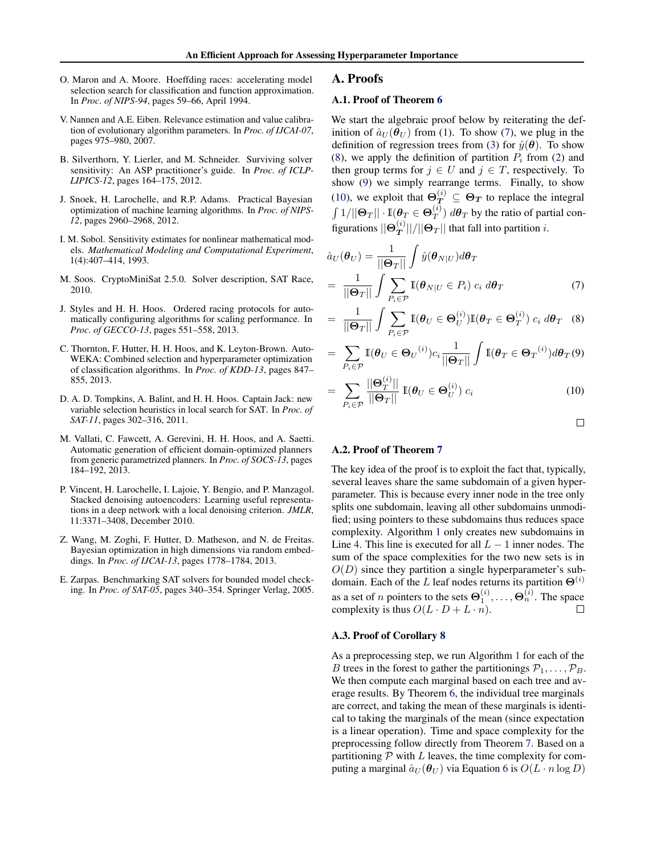- <span id="page-9-0"></span>O. Maron and A. Moore. Hoeffding races: accelerating model selection search for classification and function approximation. In *Proc. of NIPS-94*, pages 59–66, April 1994.
- V. Nannen and A.E. Eiben. Relevance estimation and value calibration of evolutionary algorithm parameters. In *Proc. of IJCAI-07*, pages 975–980, 2007.
- B. Silverthorn, Y. Lierler, and M. Schneider. Surviving solver sensitivity: An ASP practitioner's guide. In *Proc. of ICLP-LIPICS-12*, pages 164–175, 2012.
- J. Snoek, H. Larochelle, and R.P. Adams. Practical Bayesian optimization of machine learning algorithms. In *Proc. of NIPS-12*, pages 2960–2968, 2012.
- I. M. Sobol. Sensitivity estimates for nonlinear mathematical models. *Mathematical Modeling and Computational Experiment*, 1(4):407–414, 1993.
- M. Soos. CryptoMiniSat 2.5.0. Solver description, SAT Race, 2010.
- J. Styles and H. H. Hoos. Ordered racing protocols for automatically configuring algorithms for scaling performance. In *Proc. of GECCO-13*, pages 551–558, 2013.
- C. Thornton, F. Hutter, H. H. Hoos, and K. Leyton-Brown. Auto-WEKA: Combined selection and hyperparameter optimization of classification algorithms. In *Proc. of KDD-13*, pages 847– 855, 2013.
- D. A. D. Tompkins, A. Balint, and H. H. Hoos. Captain Jack: new variable selection heuristics in local search for SAT. In *Proc. of SAT-11*, pages 302–316, 2011.
- M. Vallati, C. Fawcett, A. Gerevini, H. H. Hoos, and A. Saetti. Automatic generation of efficient domain-optimized planners from generic parametrized planners. In *Proc. of SOCS-13*, pages 184–192, 2013.
- P. Vincent, H. Larochelle, I. Lajoie, Y. Bengio, and P. Manzagol. Stacked denoising autoencoders: Learning useful representations in a deep network with a local denoising criterion. *JMLR*, 11:3371–3408, December 2010.
- Z. Wang, M. Zoghi, F. Hutter, D. Matheson, and N. de Freitas. Bayesian optimization in high dimensions via random embeddings. In *Proc. of IJCAI-13*, pages 1778–1784, 2013.
- E. Zarpas. Benchmarking SAT solvers for bounded model checking. In *Proc. of SAT-05*, pages 340–354. Springer Verlag, 2005.

#### A. Proofs

## A.1. Proof of Theorem [6](#page-3-0)

We start the algebraic proof below by reiterating the definition of  $\hat{a}_U(\theta_U)$  from [\(1\)](#page-2-0). To show (7), we plug in the definition of regression trees from [\(3\)](#page-2-0) for  $\hat{y}(\theta)$ . To show (8), we apply the definition of partition  $P_i$  from [\(2\)](#page-2-0) and then group terms for  $j \in U$  and  $j \in T$ , respectively. To show (9) we simply rearrange terms. Finally, to show (10), we exploit that  $\Theta_T^{(i)} \subseteq \Theta_T$  to replace the integral  $\int 1/||\mathbf{\Theta}_T||\cdot\mathbb{I}(\bm{\theta}_T\in \mathbf{\Theta}_T^{(i)})$  $T^{(i)}$ )  $d\theta_T$  by the ratio of partial configurations  $\|\Theta_T^{(i)}\|$  $\left\lfloor {\frac{{\alpha \cdot T}}{{T}}} \right\rfloor \left| {\left/ {\left\| {\Theta_T} \right\|} \right\|}$  that fall into partition *i*.

$$
\hat{a}_U(\boldsymbol{\theta}_U) = \frac{1}{\|\boldsymbol{\Theta}_T\|} \int \hat{y}(\boldsymbol{\theta}_{N|U}) d\boldsymbol{\theta}_T \n= \frac{1}{\|\boldsymbol{\Theta}_T\|} \int \sum_{P_i \in \mathcal{P}} \mathbb{I}(\boldsymbol{\theta}_{N|U} \in P_i) c_i d\boldsymbol{\theta}_T
$$
\n(7)

$$
= \frac{1}{\|\mathbf{\Theta}_T\|} \int \sum_{P_i \in \mathcal{P}} \mathbb{I}(\boldsymbol{\theta}_U \in \mathbf{\Theta}_U^{(i)}) \mathbb{I}(\boldsymbol{\theta}_T \in \mathbf{\Theta}_T^{(i)}) \ c_i \ d\boldsymbol{\theta}_T \quad (8)
$$

$$
= \sum_{P_i \in \mathcal{P}} \mathbb{I}(\boldsymbol{\theta}_U \in \boldsymbol{\Theta}_U^{(i)}) c_i \frac{1}{\|\boldsymbol{\Theta}_T\|} \int \mathbb{I}(\boldsymbol{\theta}_T \in \boldsymbol{\Theta}_T^{(i)}) d\boldsymbol{\theta}_T(9)
$$

$$
= \sum_{P_i \in \mathcal{P}} \frac{\|\mathbf{\Theta}_T^{(i)}\|}{\|\mathbf{\Theta}_T\|} \mathbb{I}(\boldsymbol{\theta}_U \in \mathbf{\Theta}_U^{(i)}) c_i
$$
(10)

 $\Box$ 

#### A.2. Proof of Theorem [7](#page-3-0)

The key idea of the proof is to exploit the fact that, typically, several leaves share the same subdomain of a given hyperparameter. This is because every inner node in the tree only splits one subdomain, leaving all other subdomains unmodified; using pointers to these subdomains thus reduces space complexity. Algorithm [1](#page-3-0) only creates new subdomains in Line [4.](#page-3-0) This line is executed for all  $L - 1$  inner nodes. The sum of the space complexities for the two new sets is in  $O(D)$  since they partition a single hyperparameter's subdomain. Each of the L leaf nodes returns its partition  $\Theta^{(i)}$ as a set of *n* pointers to the sets  $\mathbf{\Theta}_1^{(i)}, \dots, \mathbf{\Theta}_n^{(i)}$ . The space complexity is thus  $O(L \cdot D + L \cdot n)$ .  $\Box$ 

#### A.3. Proof of Corollary [8](#page-3-0)

As a preprocessing step, we run Algorithm [1](#page-3-0) for each of the B trees in the forest to gather the partitionings  $P_1, \ldots, P_B$ . We then compute each marginal based on each tree and average results. By Theorem [6,](#page-3-0) the individual tree marginals are correct, and taking the mean of these marginals is identical to taking the marginals of the mean (since expectation is a linear operation). Time and space complexity for the preprocessing follow directly from Theorem [7.](#page-3-0) Based on a partitioning  $P$  with  $L$  leaves, the time complexity for computing a marginal  $\hat{a}_U(\theta_U)$  via Equation [6](#page-3-0) is  $O(L \cdot n \log D)$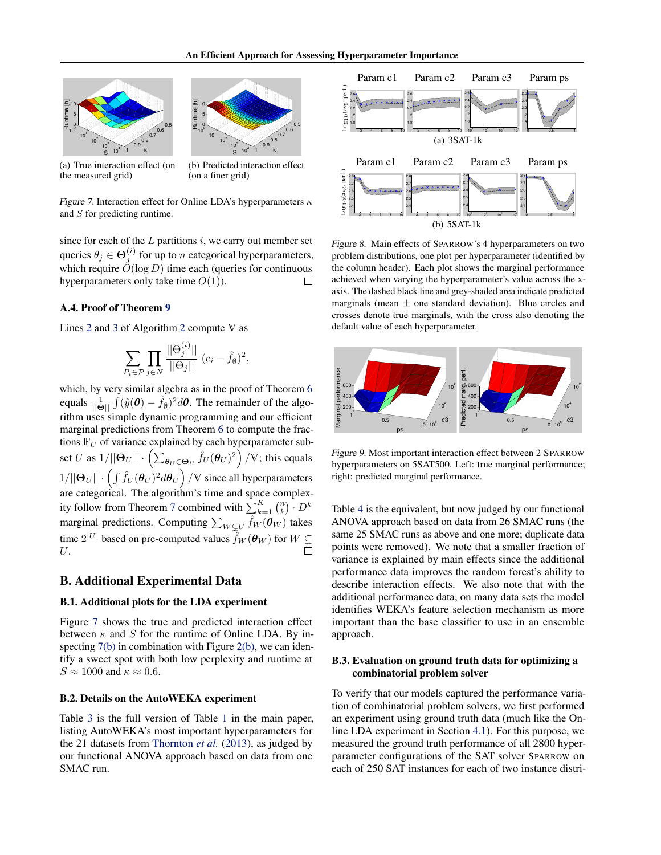<span id="page-10-0"></span>



(a) True interaction effect (on the measured grid)

(b) Predicted interaction effect (on a finer grid)

,

Figure 7. Interaction effect for Online LDA's hyperparameters  $\kappa$ and S for predicting runtime.

since for each of the  $L$  partitions  $i$ , we carry out member set queries  $\theta_j \in \Theta_j^{(i)}$  for up to n categorical hyperparameters, which require  $O(\log D)$  time each (queries for continuous hyperparameters only take time  $O(1)$ ).

# A.4. Proof of Theorem [9](#page-4-0)

Lines [2](#page-4-0) and [3](#page-4-0) of Algorithm [2](#page-4-0) compute V as

$$
\sum_{P_i \in \mathcal{P}} \prod_{j \in N} \frac{||\Theta_j^{(i)}||}{||\Theta_j||} (c_i - \hat{f}_\emptyset)^2
$$

which, by very similar algebra as in the proof of Theorem [6](#page-3-0) equals  $\frac{1}{\|\Theta\|} \int (\hat{y}(\theta) - \hat{f}_{\theta})^2 d\theta$ . The remainder of the algorithm uses simple dynamic programming and our efficient marginal predictions from Theorem [6](#page-3-0) to compute the fractions  $\mathbb{F}_U$  of variance explained by each hyperparameter subset U as  $1/||\mathbf{\Theta}_U|| \cdot \left( \sum_{\bm{\theta}_U \in \mathbf{\Theta}_U} \hat{f}_U(\bm{\theta}_U)^2 \right) / \mathbb{V}$ ; this equals  $1/||\mathbf{\Theta}_U|| \cdot \left(\int \hat{f}_U(\boldsymbol{\theta}_U)^2 d\boldsymbol{\theta}_U\right)/\mathbb{V}$  since all hyperparameters are categorical. The algorithm's time and space complex-ity follow from Theorem [7](#page-3-0) combined with  $\sum_{k=1}^{K} {n \choose k} \cdot D^k$ marginal predictions. Computing  $\sum_{W\subsetneq U} \hat{f}_W(\boldsymbol{\theta}_W)$  takes time  $2^{|U|}$  based on pre-computed values  $\hat{f}_W(\boldsymbol{\theta}_W)$  for  $W \subsetneq$  $U$ .

# B. Additional Experimental Data

#### B.1. Additional plots for the LDA experiment

Figure 7 shows the true and predicted interaction effect between  $\kappa$  and S for the runtime of Online LDA. By in-specting 7(b) in combination with Figure [2\(b\),](#page-5-0) we can identify a sweet spot with both low perplexity and runtime at  $S \approx 1000$  and  $\kappa \approx 0.6$ .

#### B.2. Details on the AutoWEKA experiment

Table [3](#page-11-0) is the full version of Table [1](#page-6-0) in the main paper, listing AutoWEKA's most important hyperparameters for the 21 datasets from [Thornton](#page-9-0) *et al.* [\(2013\)](#page-9-0), as judged by our functional ANOVA approach based on data from one SMAC run.



Figure 8. Main effects of SPARROW's 4 hyperparameters on two problem distributions, one plot per hyperparameter (identified by the column header). Each plot shows the marginal performance achieved when varying the hyperparameter's value across the xaxis. The dashed black line and grey-shaded area indicate predicted marginals (mean  $\pm$  one standard deviation). Blue circles and crosses denote true marginals, with the cross also denoting the default value of each hyperparameter.



Figure 9. Most important interaction effect between 2 SPARROW hyperparameters on 5SAT500. Left: true marginal performance; right: predicted marginal performance.

Table [4](#page-11-0) is the equivalent, but now judged by our functional ANOVA approach based on data from 26 SMAC runs (the same 25 SMAC runs as above and one more; duplicate data points were removed). We note that a smaller fraction of variance is explained by main effects since the additional performance data improves the random forest's ability to describe interaction effects. We also note that with the additional performance data, on many data sets the model identifies WEKA's feature selection mechanism as more important than the base classifier to use in an ensemble approach.

#### B.3. Evaluation on ground truth data for optimizing a combinatorial problem solver

To verify that our models captured the performance variation of combinatorial problem solvers, we first performed an experiment using ground truth data (much like the Online LDA experiment in Section [4.1\)](#page-5-0). For this purpose, we measured the ground truth performance of all 2800 hyperparameter configurations of the SAT solver SPARROW on each of 250 SAT instances for each of two instance distri-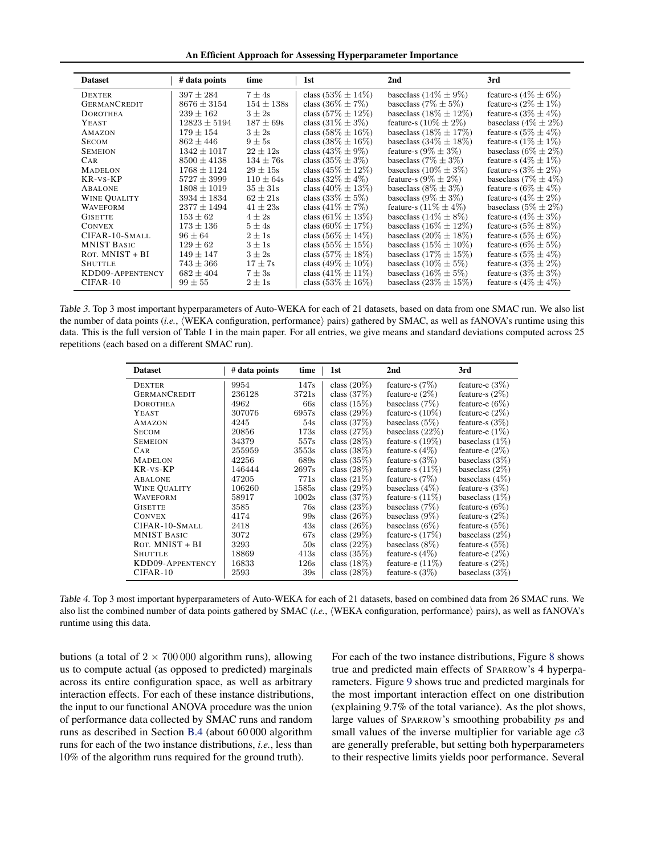An Efficient Approach for Assessing Hyperparameter Importance

<span id="page-11-0"></span>

| <b>Dataset</b>      | # data points    | time           | 1st                     | 2 <sub>nd</sub>             | 3rd                       |
|---------------------|------------------|----------------|-------------------------|-----------------------------|---------------------------|
| <b>DEXTER</b>       | $397 \pm 284$    | $7 \pm 4s$     | class $(53\% \pm 14\%)$ | baseclass $(14\% \pm 9\%)$  | feature-s $(4\% \pm 6\%)$ |
| <b>GERMANCREDIT</b> | $8676 \pm 3154$  | $154 \pm 138s$ | class $(36\% \pm 7\%)$  | baseclass $(7\% \pm 5\%)$   | feature-s $(2\% \pm 1\%)$ |
| <b>DOROTHEA</b>     | $239 \pm 162$    | $3 \pm 2s$     | class $(57\% \pm 12\%)$ | baseclass $(18\% \pm 12\%)$ | feature-s $(3\% \pm 4\%)$ |
| YEAST               | $12823 \pm 5194$ | $187 \pm 69s$  | class $(31\% \pm 3\%)$  | feature-s $(10\% \pm 2\%)$  | baseclass $(4\% \pm 2\%)$ |
| AMAZON              | $179 \pm 154$    | $3 \pm 2s$     | class $(58\% \pm 16\%)$ | baseclass $(18\% \pm 17\%)$ | feature-s $(5\% \pm 4\%)$ |
| <b>SECOM</b>        | $862 \pm 446$    | $9 \pm 5s$     | class $(38\% \pm 16\%)$ | baseclass $(34\% \pm 18\%)$ | feature-s $(1\% \pm 1\%)$ |
| <b>SEMEION</b>      | $1342 \pm 1017$  | $22 \pm 12s$   | class $(43\% \pm 9\%)$  | feature-s $(9\% \pm 3\%)$   | baseclass $(6\% \pm 2\%)$ |
| <b>CAR</b>          | $8500 \pm 4138$  | $134 \pm 76s$  | class $(35\% \pm 3\%)$  | baseclass $(7\% \pm 3\%)$   | feature-s $(4\% \pm 1\%)$ |
| <b>MADELON</b>      | $1768 \pm 1124$  | $29 \pm 15s$   | class $(45\% \pm 12\%)$ | baseclass $(10\% \pm 3\%)$  | feature-s $(3\% \pm 2\%)$ |
| KR-vs-KP            | $5727 \pm 3999$  | $110 \pm 64s$  | class $(32\% \pm 4\%)$  | feature-s $(9\% \pm 2\%)$   | baseclass $(7\% \pm 4\%)$ |
| ABALONE             | $1808 \pm 1019$  | $35 \pm 31s$   | class $(40\% \pm 13\%)$ | baseclass $(8\% \pm 3\%)$   | feature-s $(6\% \pm 4\%)$ |
| <b>WINE QUALITY</b> | $3934 \pm 1834$  | $62 \pm 21s$   | class $(33\% \pm 5\%)$  | baseclass $(9\% \pm 3\%)$   | feature-s $(4\% \pm 2\%)$ |
| <b>WAVEFORM</b>     | $2377 \pm 1494$  | $41 \pm 23s$   | class $(41\% \pm 7\%)$  | feature-s $(11\% \pm 4\%)$  | baseclass $(5\% \pm 2\%)$ |
| <b>GISETTE</b>      | $153 \pm 62$     | $4 \pm 2s$     | class $(61\% \pm 13\%)$ | baseclass $(14\% \pm 8\%)$  | feature-s $(4\% \pm 3\%)$ |
| <b>CONVEX</b>       | $173 \pm 136$    | $5 \pm 4s$     | class $(60\% \pm 17\%)$ | baseclass $(16\% \pm 12\%)$ | feature-s $(5\% \pm 8\%)$ |
| CIFAR-10-SMALL      | $96 \pm 64$      | $2 \pm 1s$     | class $(56\% \pm 14\%)$ | baseclass $(20\% \pm 18\%)$ | feature-s $(5\% \pm 6\%)$ |
| <b>MNIST BASIC</b>  | $129 \pm 62$     | $3 \pm 1s$     | class $(55\% \pm 15\%)$ | baseclass $(15\% \pm 10\%)$ | feature-s $(6\% \pm 5\%)$ |
| ROT. MNIST + BI     | $149 \pm 147$    | $3 \pm 2s$     | class $(57\% \pm 18\%)$ | baseclass $(17\% \pm 15\%)$ | feature-s $(5\% \pm 4\%)$ |
| <b>SHUTTLE</b>      | $743 \pm 366$    | $17 \pm 7s$    | class $(49\% \pm 10\%)$ | baseclass $(10\% \pm 5\%)$  | feature-s $(3\% \pm 2\%)$ |
| KDD09-APPENTENCY    | $682 \pm 404$    | $7 \pm 3s$     | class $(41\% \pm 11\%)$ | baseclass $(16\% \pm 5\%)$  | feature-s $(3\% \pm 3\%)$ |
| $CIFAR-10$          | $99 \pm 55$      | $2 \pm 1s$     | class $(53\% \pm 16\%)$ | baseclass $(23\% \pm 15\%)$ | feature-s $(4\% \pm 4\%)$ |

Table 3. Top 3 most important hyperparameters of Auto-WEKA for each of 21 datasets, based on data from one SMAC run. We also list the number of data points (*i.e.*, (WEKA configuration, performance) pairs) gathered by SMAC, as well as fANOVA's runtime using this data. This is the full version of Table 1 in the main paper. For all entries, we give means and standard deviations computed across 25 repetitions (each based on a different SMAC run).

| <b>Dataset</b>      | # data points | time  | 1st            | 2 <sub>nd</sub>    | 3rd               |
|---------------------|---------------|-------|----------------|--------------------|-------------------|
| <b>DEXTER</b>       | 9954          | 147s  | class $(20\%)$ | feature-s $(7%)$   | feature-e $(3\%)$ |
| <b>GERMANCREDIT</b> | 236128        | 3721s | class $(37%)$  | feature-e $(2\%)$  | feature-s $(2\%)$ |
| <b>DOROTHEA</b>     | 4962          | 66s   | class $(15\%)$ | baseclass $(7\%)$  | feature-e $(6\%)$ |
| YEAST               | 307076        | 6957s | class $(29\%)$ | feature-s $(10\%)$ | feature-e $(2\%)$ |
| <b>AMAZON</b>       | 4245          | 54s   | class $(37%)$  | baseclass $(5\%)$  | feature-s $(3\%)$ |
| <b>SECOM</b>        | 20856         | 173s  | class $(27%)$  | baseclass $(22\%)$ | feature-e $(1\%)$ |
| <b>SEMEION</b>      | 34379         | 557s  | class $(28%)$  | feature-s $(19\%)$ | baseclass $(1\%)$ |
| <b>CAR</b>          | 255959        | 3553s | class $(38\%)$ | feature-s $(4\%)$  | feature-e $(2\%)$ |
| <b>MADELON</b>      | 42256         | 689s  | class $(35\%)$ | feature-s $(3\%)$  | baseclass $(3\%)$ |
| $KR$ - $VS$ - $KP$  | 146444        | 2697s | class $(28%)$  | feature-s $(11\%)$ | baseclass $(2\%)$ |
| <b>ABALONE</b>      | 47205         | 771s  | class $(21\%)$ | feature-s $(7\%)$  | baseclass $(4\%)$ |
| <b>WINE QUALITY</b> | 106260        | 1585s | class $(29\%)$ | baseclass $(4\%)$  | feature-s $(3\%)$ |
| <b>WAVEFORM</b>     | 58917         | 1002s | class $(37%)$  | feature-s $(11\%)$ | baseclass $(1\%)$ |
| <b>GISETTE</b>      | 3585          | 76s   | class $(23%)$  | baseclass $(7%)$   | feature-s $(6\%)$ |
| <b>CONVEX</b>       | 4174          | 99s   | class $(26\%)$ | baseclass $(9\%)$  | feature-s $(2\%)$ |
| CIFAR-10-SMALL      | 2418          | 43s   | class $(26\%)$ | baseclass $(6\%)$  | feature-s $(5\%)$ |
| <b>MNIST BASIC</b>  | 3072          | 67s   | class $(29\%)$ | feature-s $(17%)$  | baseclass $(2\%)$ |
| ROT. MNIST + BI     | 3293          | 50s   | class $(22\%)$ | baseclass $(8\%)$  | feature-s $(5\%)$ |
| <b>SHUTTLE</b>      | 18869         | 413s  | class $(35\%)$ | feature-s $(4\%)$  | feature-e $(2\%)$ |
| KDD09-APPENTENCY    | 16833         | 126s  | class $(18\%)$ | feature-e $(11\%)$ | feature-s $(2\%)$ |
| $CIFAR-10$          | 2593          | 39s   | class $(28\%)$ | feature-s $(3\%)$  | baseclass $(3\%)$ |

Table 4. Top 3 most important hyperparameters of Auto-WEKA for each of 21 datasets, based on combined data from 26 SMAC runs. We also list the combined number of data points gathered by SMAC (*i.e.*,  $\langle$ WEKA configuration, performance $\rangle$  pairs), as well as fANOVA's runtime using this data.

butions (a total of  $2 \times 700000$  algorithm runs), allowing us to compute actual (as opposed to predicted) marginals across its entire configuration space, as well as arbitrary interaction effects. For each of these instance distributions, the input to our functional ANOVA procedure was the union of performance data collected by SMAC runs and random runs as described in Section [B.4](#page-12-0) (about 60 000 algorithm runs for each of the two instance distributions, *i.e.*, less than 10% of the algorithm runs required for the ground truth).

For each of the two instance distributions, Figure [8](#page-10-0) shows true and predicted main effects of SPARROW's 4 hyperparameters. Figure [9](#page-10-0) shows true and predicted marginals for the most important interaction effect on one distribution (explaining 9.7% of the total variance). As the plot shows, large values of SPARROW's smoothing probability ps and small values of the inverse multiplier for variable age  $c3$ are generally preferable, but setting both hyperparameters to their respective limits yields poor performance. Several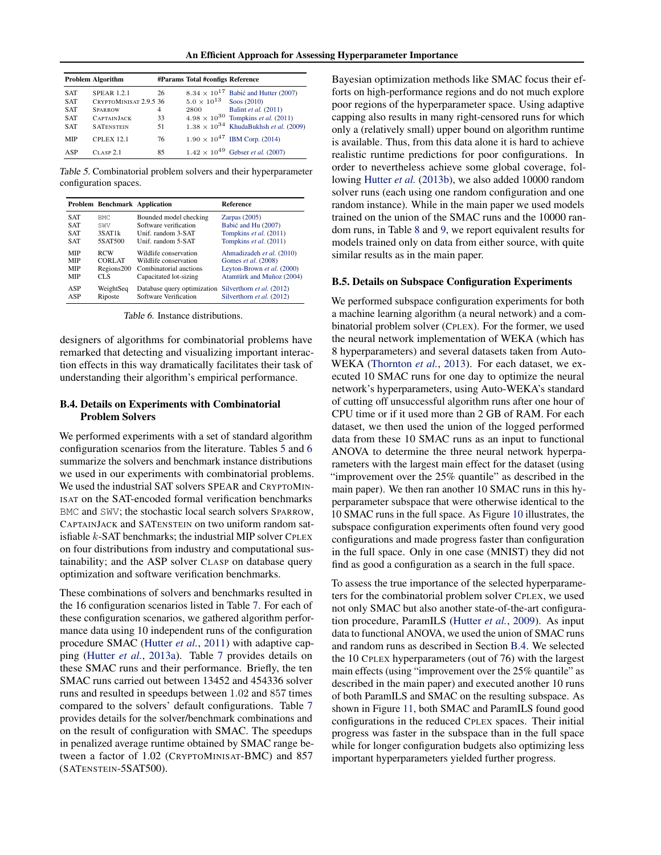<span id="page-12-0"></span>

|            | <b>Problem Algorithm</b> |    | #Params Total #configs Reference |                                                     |
|------------|--------------------------|----|----------------------------------|-----------------------------------------------------|
| <b>SAT</b> | <b>SPEAR 1.2.1</b>       | 26 |                                  | $8.34 \times 10^{17}$ Babić and Hutter (2007)       |
| <b>SAT</b> | CRYPTOMINISAT 2.9.5 36   |    | $5.0 \times 10^{13}$ Soos (2010) |                                                     |
| <b>SAT</b> | <b>SPARROW</b>           | 4  | 2800                             | <b>Balint et al.</b> (2011)                         |
| <b>SAT</b> | <b>CAPTAINJACK</b>       | 33 |                                  | $4.98 \times 10^{30}$ Tompkins <i>et al.</i> (2011) |
| <b>SAT</b> | <b>SATENSTEIN</b>        | 51 |                                  | $1.38 \times 10^{34}$ KhudaBukhsh et al. (2009)     |
| MIP        | <b>CPLEX 12.1</b>        | 76 |                                  | $1.90 \times 10^{47}$ IBM Corp. (2014)              |
| ASP        | $CLASP$ 2.1              | 85 |                                  | $1.42 \times 10^{49}$ Gebser <i>et al.</i> (2007)   |

Table 5. Combinatorial problem solvers and their hyperparameter configuration spaces.

|            | Problem Benchmark Application |                                                       | <b>Reference</b>           |
|------------|-------------------------------|-------------------------------------------------------|----------------------------|
| <b>SAT</b> | BMC:                          | Bounded model checking                                | Zarpas $(2005)$            |
| <b>SAT</b> | SWV                           | Software verification                                 | Babić and Hu (2007)        |
| <b>SAT</b> | 3SAT <sub>1</sub> k           | Unif. random 3-SAT                                    | Tompkins et al. (2011)     |
| <b>SAT</b> | 5SAT500                       | Unif. random 5-SAT                                    | Tompkins et al. (2011)     |
| <b>MIP</b> | <b>RCW</b>                    | Wildlife conservation                                 | Ahmadizadeh et al. (2010)  |
| <b>MIP</b> | <b>CORLAT</b>                 | Wildlife conservation                                 | Gomes et al. (2008)        |
| <b>MIP</b> | Regions200                    | Combinatorial auctions                                | Leyton-Brown et al. (2000) |
| <b>MIP</b> | CLS                           | Capacitated lot-sizing                                | Atamtürk and Muñoz (2004)  |
| ASP        | WeightSeq                     | Database query optimization Silverthorn et al. (2012) |                            |
| ASP        | Riposte                       | Software Verification                                 | Silverthorn et al. (2012)  |

Table 6. Instance distributions.

designers of algorithms for combinatorial problems have remarked that detecting and visualizing important interaction effects in this way dramatically facilitates their task of understanding their algorithm's empirical performance.

## B.4. Details on Experiments with Combinatorial Problem Solvers

We performed experiments with a set of standard algorithm configuration scenarios from the literature. Tables 5 and 6 summarize the solvers and benchmark instance distributions we used in our experiments with combinatorial problems. We used the industrial SAT solvers SPEAR and CRYPTOMIN-ISAT on the SAT-encoded formal verification benchmarks BMC and SWV; the stochastic local search solvers SPARROW, CAPTAINJACK and SATENSTEIN on two uniform random satisfiable k-SAT benchmarks; the industrial MIP solver CPLEX on four distributions from industry and computational sustainability; and the ASP solver CLASP on database query optimization and software verification benchmarks.

These combinations of solvers and benchmarks resulted in the 16 configuration scenarios listed in Table [7.](#page-13-0) For each of these configuration scenarios, we gathered algorithm performance data using 10 independent runs of the configuration procedure SMAC [\(Hutter](#page-8-0) *et al.*, [2011\)](#page-8-0) with adaptive capping [\(Hutter](#page-8-0) *et al.*, [2013a\)](#page-8-0). Table [7](#page-13-0) provides details on these SMAC runs and their performance. Briefly, the ten SMAC runs carried out between 13452 and 454336 solver runs and resulted in speedups between 1.02 and 857 times compared to the solvers' default configurations. Table [7](#page-13-0) provides details for the solver/benchmark combinations and on the result of configuration with SMAC. The speedups in penalized average runtime obtained by SMAC range between a factor of 1.02 (CRYPTOMINISAT-BMC) and 857 (SATENSTEIN-5SAT500).

Bayesian optimization methods like SMAC focus their efforts on high-performance regions and do not much explore poor regions of the hyperparameter space. Using adaptive capping also results in many right-censored runs for which only a (relatively small) upper bound on algorithm runtime is available. Thus, from this data alone it is hard to achieve realistic runtime predictions for poor configurations. In order to nevertheless achieve some global coverage, following [Hutter](#page-8-0) *et al.* [\(2013b\)](#page-8-0), we also added 10000 random solver runs (each using one random configuration and one random instance). While in the main paper we used models trained on the union of the SMAC runs and the 10000 random runs, in Table [8](#page-14-0) and [9,](#page-14-0) we report equivalent results for models trained only on data from either source, with quite similar results as in the main paper.

#### B.5. Details on Subspace Configuration Experiments

We performed subspace configuration experiments for both a machine learning algorithm (a neural network) and a combinatorial problem solver (CPLEX). For the former, we used the neural network implementation of WEKA (which has 8 hyperparameters) and several datasets taken from Auto-WEKA [\(Thornton](#page-9-0) *et al.*, [2013\)](#page-9-0). For each dataset, we executed 10 SMAC runs for one day to optimize the neural network's hyperparameters, using Auto-WEKA's standard of cutting off unsuccessful algorithm runs after one hour of CPU time or if it used more than 2 GB of RAM. For each dataset, we then used the union of the logged performed data from these 10 SMAC runs as an input to functional ANOVA to determine the three neural network hyperparameters with the largest main effect for the dataset (using "improvement over the 25% quantile" as described in the main paper). We then ran another 10 SMAC runs in this hyperparameter subspace that were otherwise identical to the 10 SMAC runs in the full space. As Figure [10](#page-13-0) illustrates, the subspace configuration experiments often found very good configurations and made progress faster than configuration in the full space. Only in one case (MNIST) they did not find as good a configuration as a search in the full space.

To assess the true importance of the selected hyperparameters for the combinatorial problem solver CPLEX, we used not only SMAC but also another state-of-the-art configuration procedure, ParamILS [\(Hutter](#page-8-0) *et al.*, [2009\)](#page-8-0). As input data to functional ANOVA, we used the union of SMAC runs and random runs as described in Section B.4. We selected the 10 CPLEX hyperparameters (out of 76) with the largest main effects (using "improvement over the 25% quantile" as described in the main paper) and executed another 10 runs of both ParamILS and SMAC on the resulting subspace. As shown in Figure [11,](#page-13-0) both SMAC and ParamILS found good configurations in the reduced CPLEX spaces. Their initial progress was faster in the subspace than in the full space while for longer configuration budgets also optimizing less important hyperparameters yielded further progress.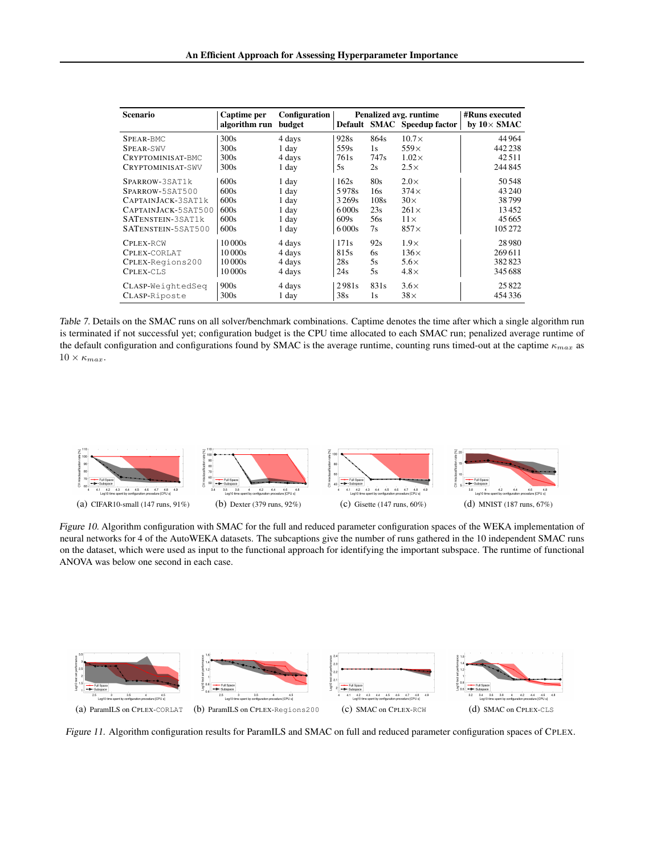<span id="page-13-0"></span>

| <b>Scenario</b>     | Captime per<br>algorithm run | Configuration<br>budget |                   |      | Penalized avg. runtime<br>Default SMAC Speedup factor | <b>#Runs executed</b><br>by $10\times$ SMAC |
|---------------------|------------------------------|-------------------------|-------------------|------|-------------------------------------------------------|---------------------------------------------|
| SPEAR-BMC           | 300s                         | 4 days                  | 928s              | 864s | $10.7\times$                                          | 44 964                                      |
| SPEAR-SWV           | 300s                         | 1 day                   | 559s              | 1s   | $559\times$                                           | 442 238                                     |
| CRYPTOMINISAT-BMC   | 300s                         | 4 days                  | 761 <sub>s</sub>  | 747s | $1.02\times$                                          | 42.511                                      |
| CRYPTOMINISAT-SWV   | 300s                         | 1 day                   | 5s                | 2s   | $2.5\times$                                           | 244 845                                     |
| SPARROW-3SAT1k      | 600s                         | 1 day                   | 162s              | 80s  | $2.0\times$                                           | 50 548                                      |
| SPARROW-5SAT500     | 600s                         | 1 day                   | 5978s             | 16s  | $374\times$                                           | 43 240                                      |
| CAPTAINJACK-3SAT1k  | 600s                         | 1 day                   | 3269 <sub>s</sub> | 108s | $30\times$                                            | 38799                                       |
| CAPTAINJACK-5SAT500 | 600s                         | 1 day                   | 6000s             | 23s  | $261\times$                                           | 13452                                       |
| SATENSTEIN-3SAT1k   | 600s                         | 1 day                   | 609s              | 56s  | $11\times$                                            | 45665                                       |
| SATENSTEIN-5SAT500  | 600s                         | 1 day                   | 6000s             | 7s   | $857\times$                                           | 105 272                                     |
| CPLEX-RCW           | 10 000s                      | 4 days                  | 171s              | 92s  | $1.9\times$                                           | 28980                                       |
| CPLEX-CORLAT        | 10 000s                      | 4 days                  | 815s              | 6s   | $136\times$                                           | 269 611                                     |
| CPLEX-Regions200    | 10 000s                      | 4 days                  | 28s               | 5s   | $5.6\times$                                           | 382823                                      |
| CPLEX-CLS           | 10 000s                      | 4 days                  | 24s               | 5s   | $4.8\times$                                           | 345 688                                     |
| CLASP-WeightedSeg   | 900s                         | 4 days                  | 2981s             | 831s | $3.6\times$                                           | 25822                                       |
| CLASP-Riposte       | 300s                         | 1 day                   | 38s               | 1s   | $38\times$                                            | 454 336                                     |

Table 7. Details on the SMAC runs on all solver/benchmark combinations. Captime denotes the time after which a single algorithm run is terminated if not successful yet; configuration budget is the CPU time allocated to each SMAC run; penalized average runtime of the default configuration and configurations found by SMAC is the average runtime, counting runs timed-out at the captime  $\kappa_{max}$  as  $10 \times \kappa_{max}$ .



Figure 10. Algorithm configuration with SMAC for the full and reduced parameter configuration spaces of the WEKA implementation of neural networks for 4 of the AutoWEKA datasets. The subcaptions give the number of runs gathered in the 10 independent SMAC runs on the dataset, which were used as input to the functional approach for identifying the important subspace. The runtime of functional ANOVA was below one second in each case.



Figure 11. Algorithm configuration results for ParamILS and SMAC on full and reduced parameter configuration spaces of CPLEX.